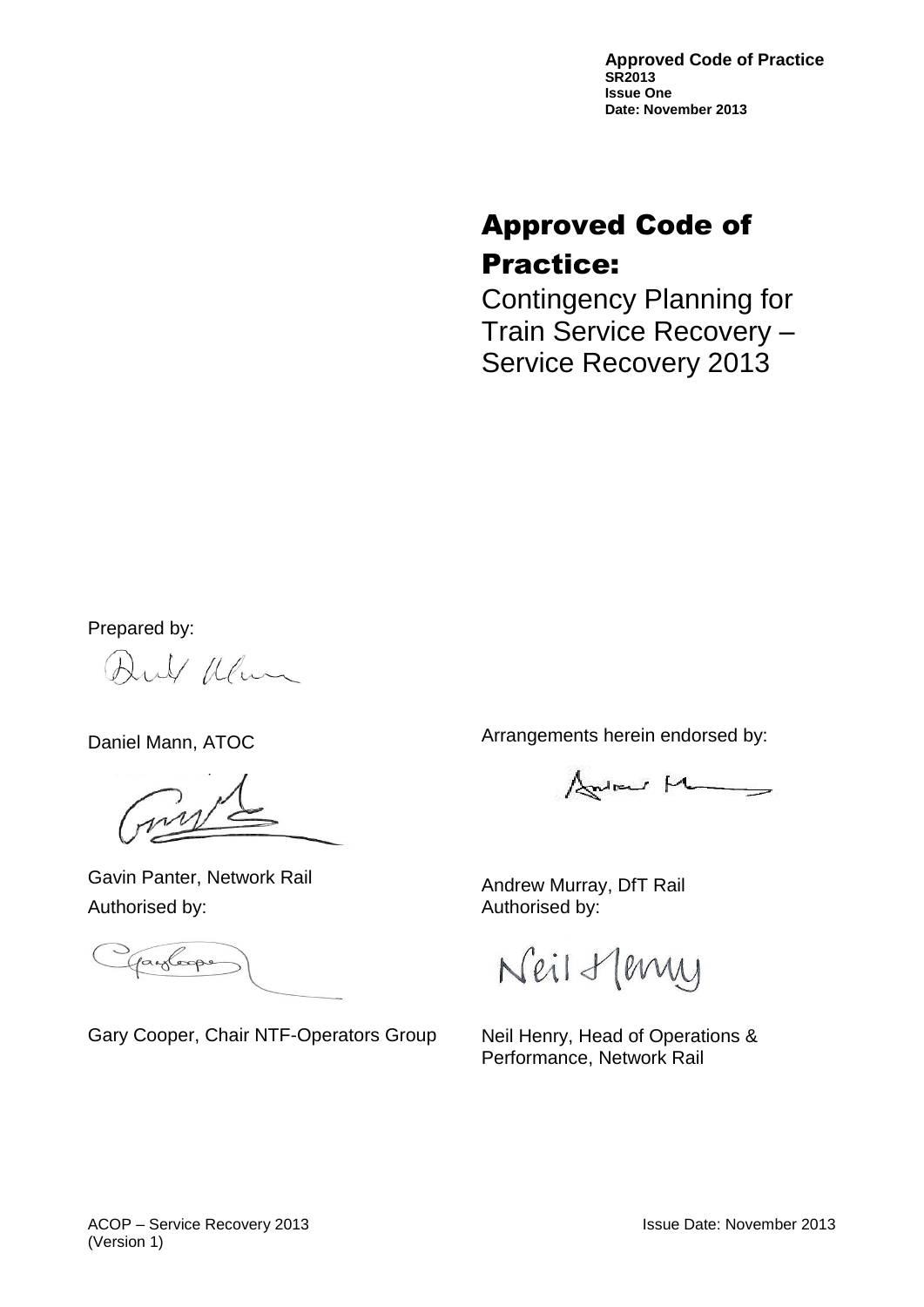**Approved Code of Practice SR2013 Issue One Date: November 2013**

# Approved Code of Practice:

Contingency Planning for Train Service Recovery – Service Recovery 2013

Prepared by:

Aul Illum

Daniel Mann, ATOC

Gavin Panter, Network Rail Authorised by:

payloope

Gary Cooper, Chair NTF-Operators Group

Arrangements herein endorsed by:

Andrew Man

Andrew Murray, DfT Rail Authorised by:

Neil Henry

Neil Henry, Head of Operations & Performance, Network Rail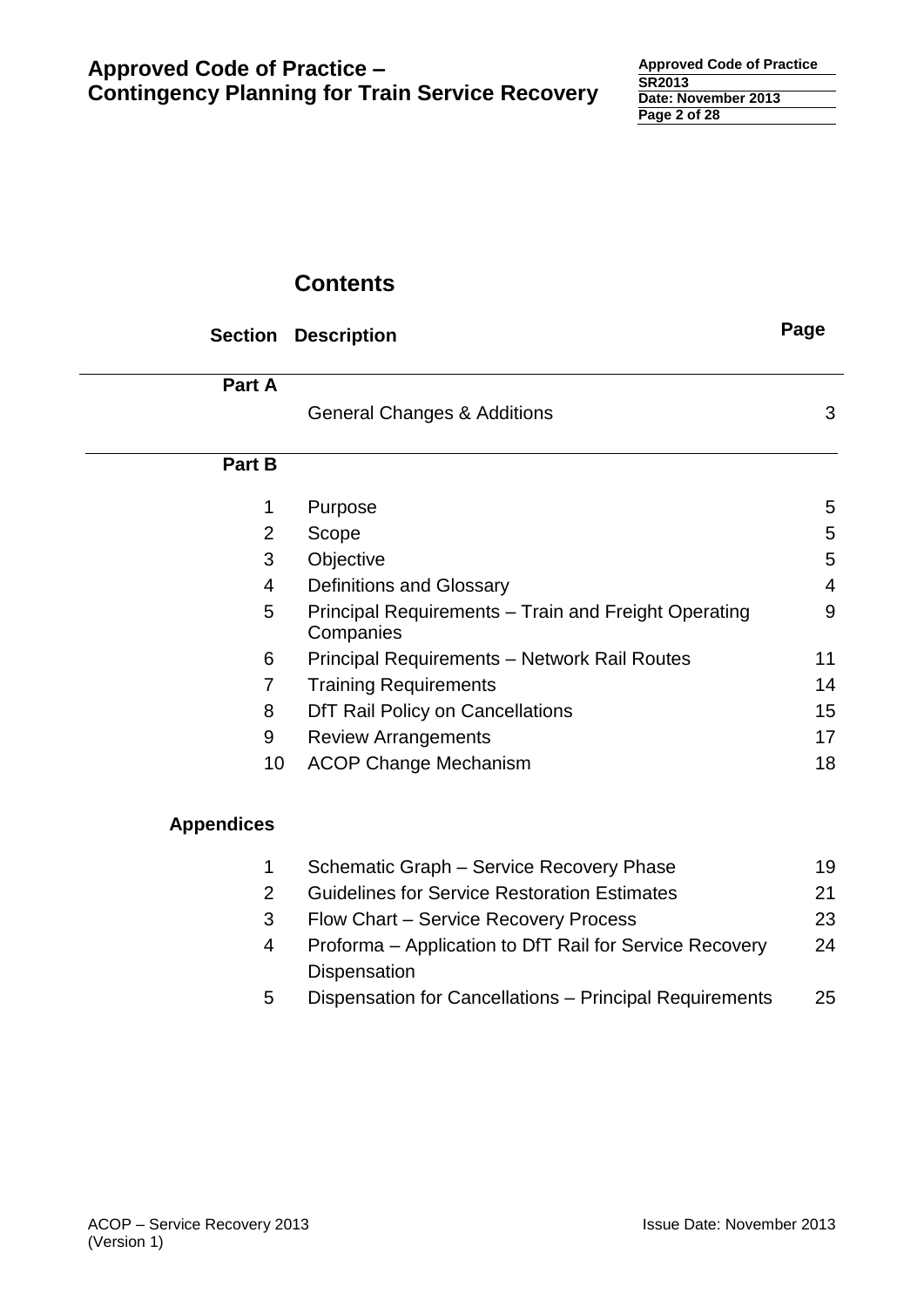# **Contents**

| <b>Section</b>    | <b>Description</b>                                                | Page           |
|-------------------|-------------------------------------------------------------------|----------------|
| Part A            |                                                                   |                |
|                   | <b>General Changes &amp; Additions</b>                            | 3              |
| Part B            |                                                                   |                |
| 1                 | Purpose                                                           | 5              |
| $\overline{2}$    | Scope                                                             | 5              |
| 3                 | Objective                                                         | 5              |
| 4                 | <b>Definitions and Glossary</b>                                   | $\overline{4}$ |
| 5                 | Principal Requirements - Train and Freight Operating<br>Companies | 9              |
| 6                 | Principal Requirements - Network Rail Routes                      | 11             |
| $\overline{7}$    | <b>Training Requirements</b>                                      | 14             |
| 8                 | DfT Rail Policy on Cancellations                                  | 15             |
| 9                 | <b>Review Arrangements</b>                                        | 17             |
| 10                | <b>ACOP Change Mechanism</b>                                      | 18             |
| <b>Appendices</b> |                                                                   |                |
| 1                 | Schematic Graph - Service Recovery Phase                          | 19             |
| $\overline{2}$    | <b>Guidelines for Service Restoration Estimates</b>               | 21             |
| 3                 | Flow Chart – Service Recovery Process                             | 23             |

- 4 Proforma Application to DfT Rail for Service Recovery 24 Dispensation
- 5 Dispensation for Cancellations Principal Requirements 25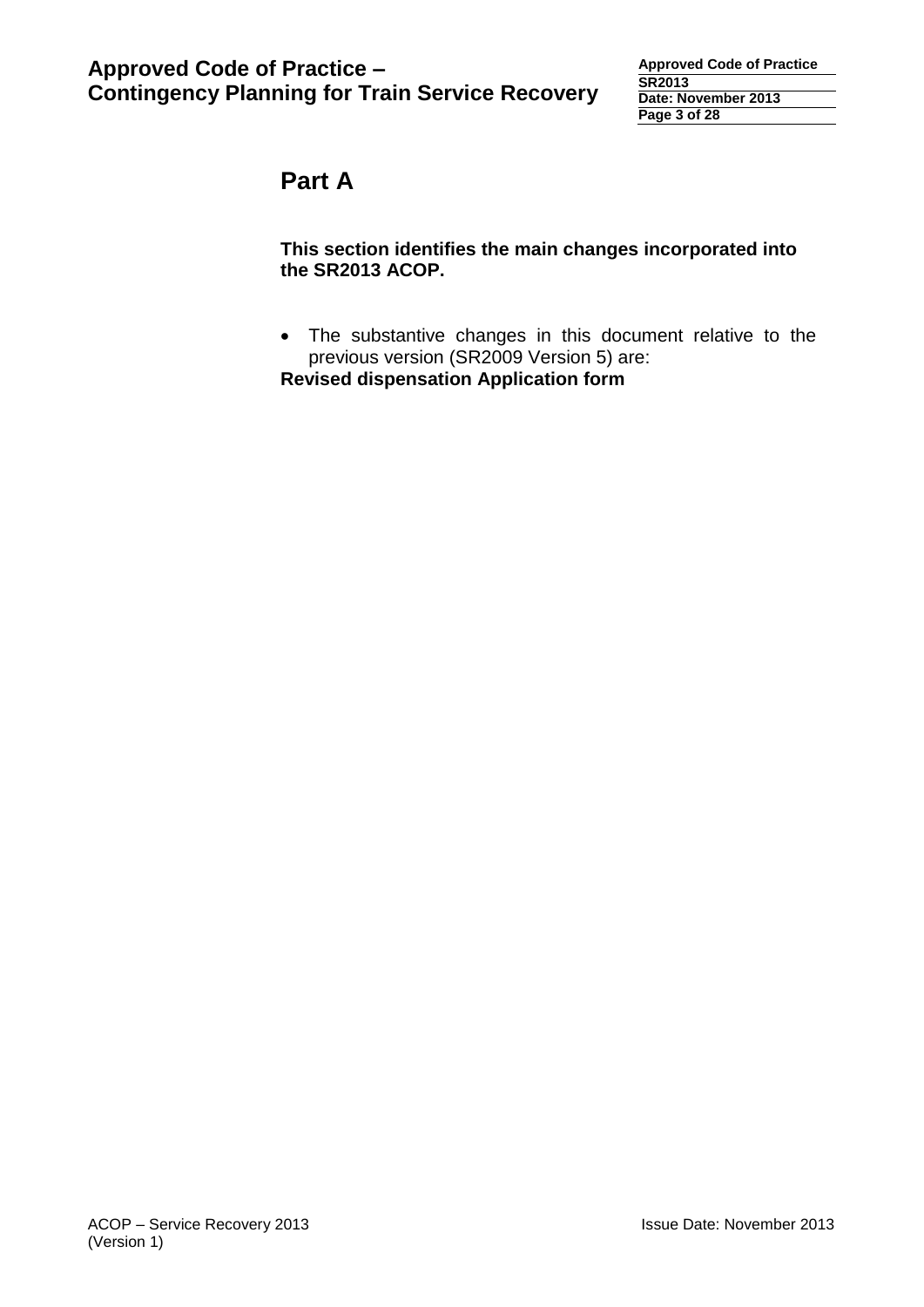# **Part A**

#### **This section identifies the main changes incorporated into the SR2013 ACOP.**

 The substantive changes in this document relative to the previous version (SR2009 Version 5) are:

**Revised dispensation Application form**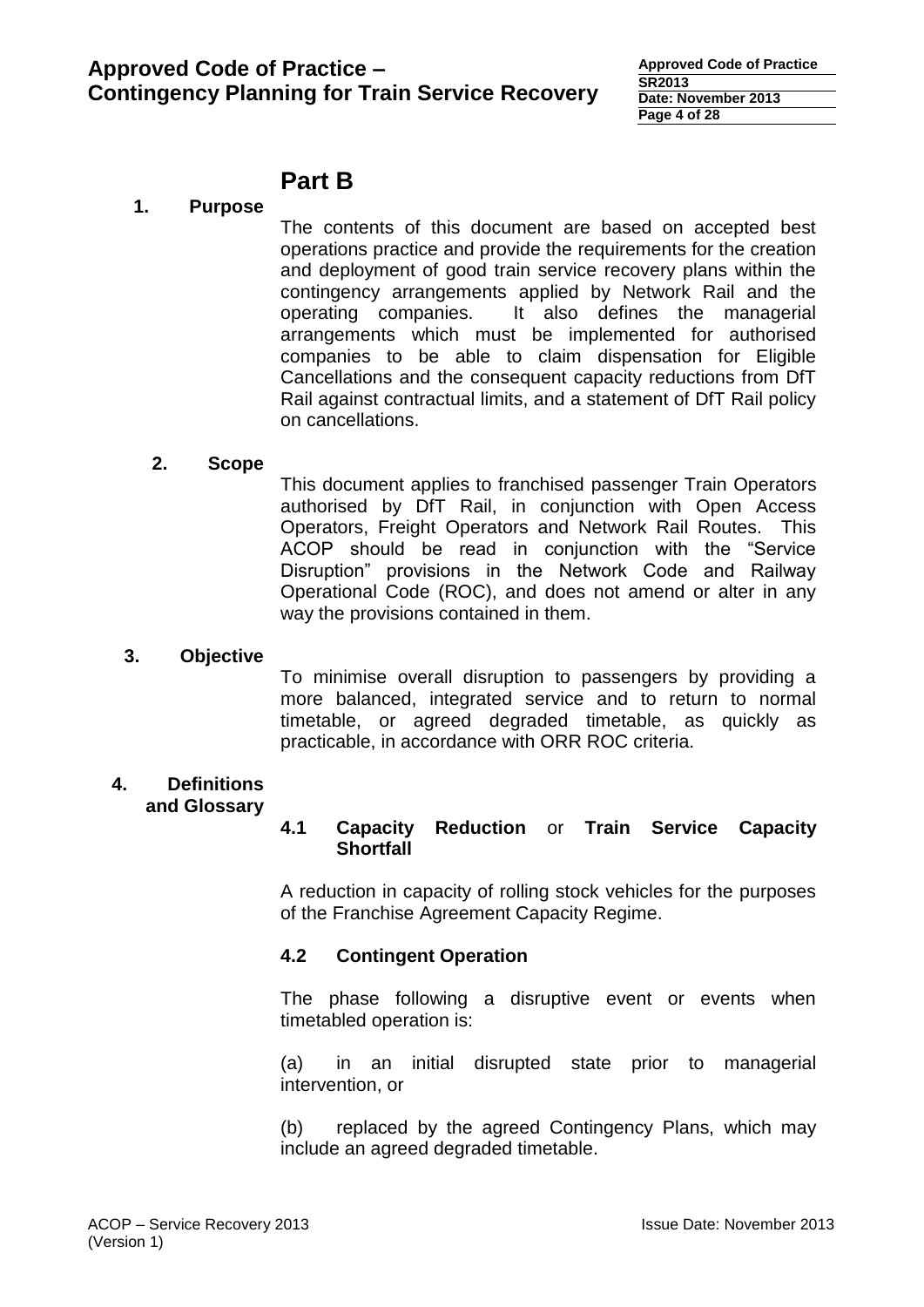# **Part B**

#### **1. Purpose**

The contents of this document are based on accepted best operations practice and provide the requirements for the creation and deployment of good train service recovery plans within the contingency arrangements applied by Network Rail and the operating companies. It also defines the managerial arrangements which must be implemented for authorised companies to be able to claim dispensation for Eligible Cancellations and the consequent capacity reductions from DfT Rail against contractual limits, and a statement of DfT Rail policy on cancellations.

#### **2. Scope**

This document applies to franchised passenger Train Operators authorised by DfT Rail, in conjunction with Open Access Operators, Freight Operators and Network Rail Routes. This ACOP should be read in conjunction with the "Service Disruption" provisions in the Network Code and Railway Operational Code (ROC), and does not amend or alter in any way the provisions contained in them.

#### **3. Objective**

To minimise overall disruption to passengers by providing a more balanced, integrated service and to return to normal timetable, or agreed degraded timetable, as quickly as practicable, in accordance with ORR ROC criteria.

#### **4. Definitions and Glossary**

#### **4.1 Capacity Reduction** or **Train Service Capacity Shortfall**

A reduction in capacity of rolling stock vehicles for the purposes of the Franchise Agreement Capacity Regime.

#### **4.2 Contingent Operation**

The phase following a disruptive event or events when timetabled operation is:

(a) in an initial disrupted state prior to managerial intervention, or

(b) replaced by the agreed Contingency Plans, which may include an agreed degraded timetable.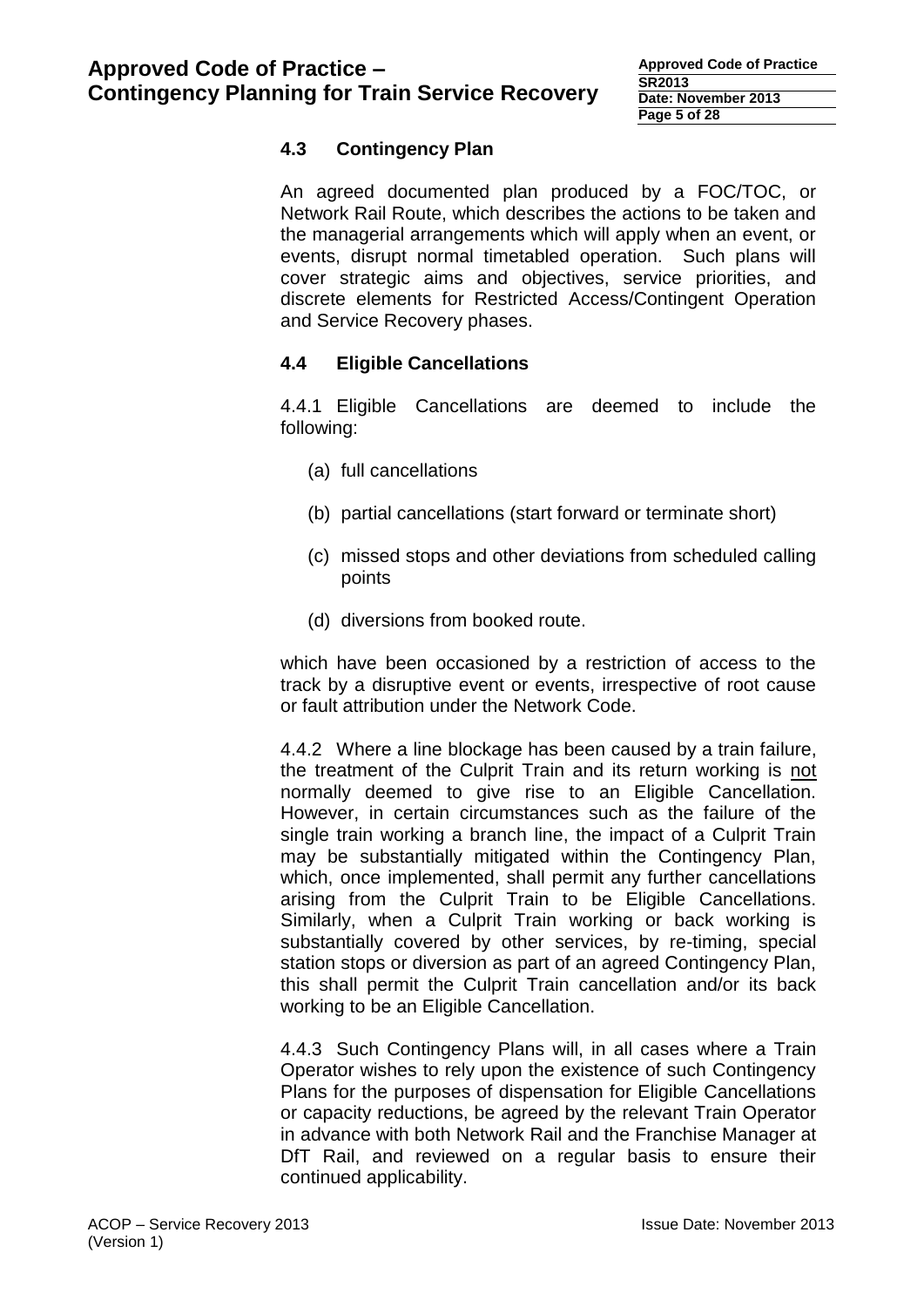## **4.3 Contingency Plan**

An agreed documented plan produced by a FOC/TOC, or Network Rail Route, which describes the actions to be taken and the managerial arrangements which will apply when an event, or events, disrupt normal timetabled operation. Such plans will cover strategic aims and objectives, service priorities, and discrete elements for Restricted Access/Contingent Operation and Service Recovery phases.

## **4.4 Eligible Cancellations**

4.4.1 Eligible Cancellations are deemed to include the following:

- (a) full cancellations
- (b) partial cancellations (start forward or terminate short)
- (c) missed stops and other deviations from scheduled calling points
- (d) diversions from booked route.

which have been occasioned by a restriction of access to the track by a disruptive event or events, irrespective of root cause or fault attribution under the Network Code.

4.4.2 Where a line blockage has been caused by a train failure, the treatment of the Culprit Train and its return working is not normally deemed to give rise to an Eligible Cancellation. However, in certain circumstances such as the failure of the single train working a branch line, the impact of a Culprit Train may be substantially mitigated within the Contingency Plan, which, once implemented, shall permit any further cancellations arising from the Culprit Train to be Eligible Cancellations. Similarly, when a Culprit Train working or back working is substantially covered by other services, by re-timing, special station stops or diversion as part of an agreed Contingency Plan, this shall permit the Culprit Train cancellation and/or its back working to be an Eligible Cancellation.

4.4.3 Such Contingency Plans will, in all cases where a Train Operator wishes to rely upon the existence of such Contingency Plans for the purposes of dispensation for Eligible Cancellations or capacity reductions, be agreed by the relevant Train Operator in advance with both Network Rail and the Franchise Manager at DfT Rail, and reviewed on a regular basis to ensure their continued applicability.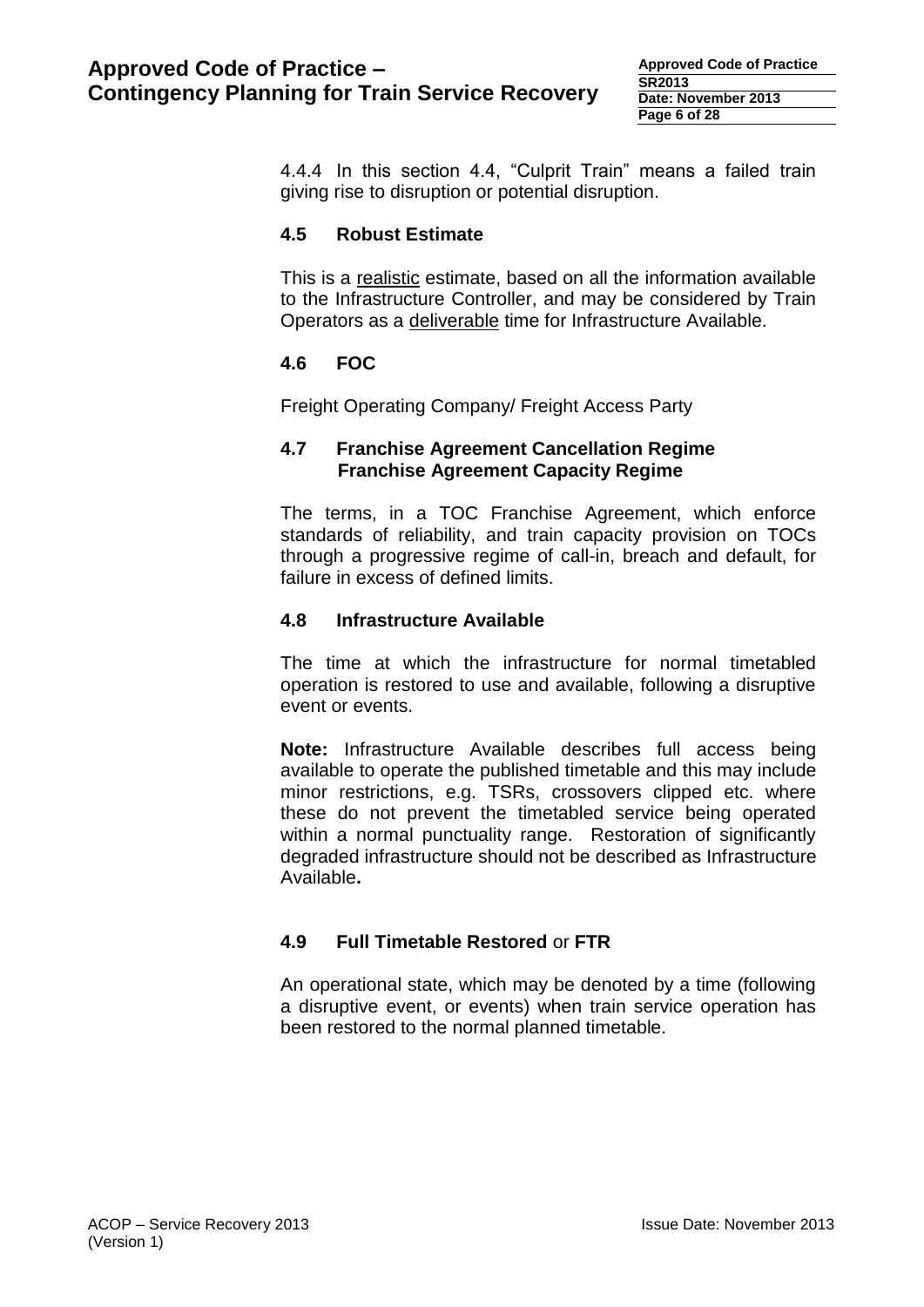**Approved Code of Practice SR2013 Date: November 2013 Page 6 of 28**

4.4.4 In this section 4.4, "Culprit Train" means a failed train giving rise to disruption or potential disruption.

#### **4.5 Robust Estimate**

This is a realistic estimate, based on all the information available to the Infrastructure Controller, and may be considered by Train Operators as a deliverable time for Infrastructure Available.

## **4.6 FOC**

Freight Operating Company/ Freight Access Party

#### **4.7 Franchise Agreement Cancellation Regime Franchise Agreement Capacity Regime**

The terms, in a TOC Franchise Agreement, which enforce standards of reliability, and train capacity provision on TOCs through a progressive regime of call-in, breach and default, for failure in excess of defined limits.

#### **4.8 Infrastructure Available**

The time at which the infrastructure for normal timetabled operation is restored to use and available, following a disruptive event or events.

**Note:** Infrastructure Available describes full access being available to operate the published timetable and this may include minor restrictions, e.g. TSRs, crossovers clipped etc. where these do not prevent the timetabled service being operated within a normal punctuality range. Restoration of significantly degraded infrastructure should not be described as Infrastructure Available**.**

#### **4.9 Full Timetable Restored** or **FTR**

An operational state, which may be denoted by a time (following a disruptive event, or events) when train service operation has been restored to the normal planned timetable.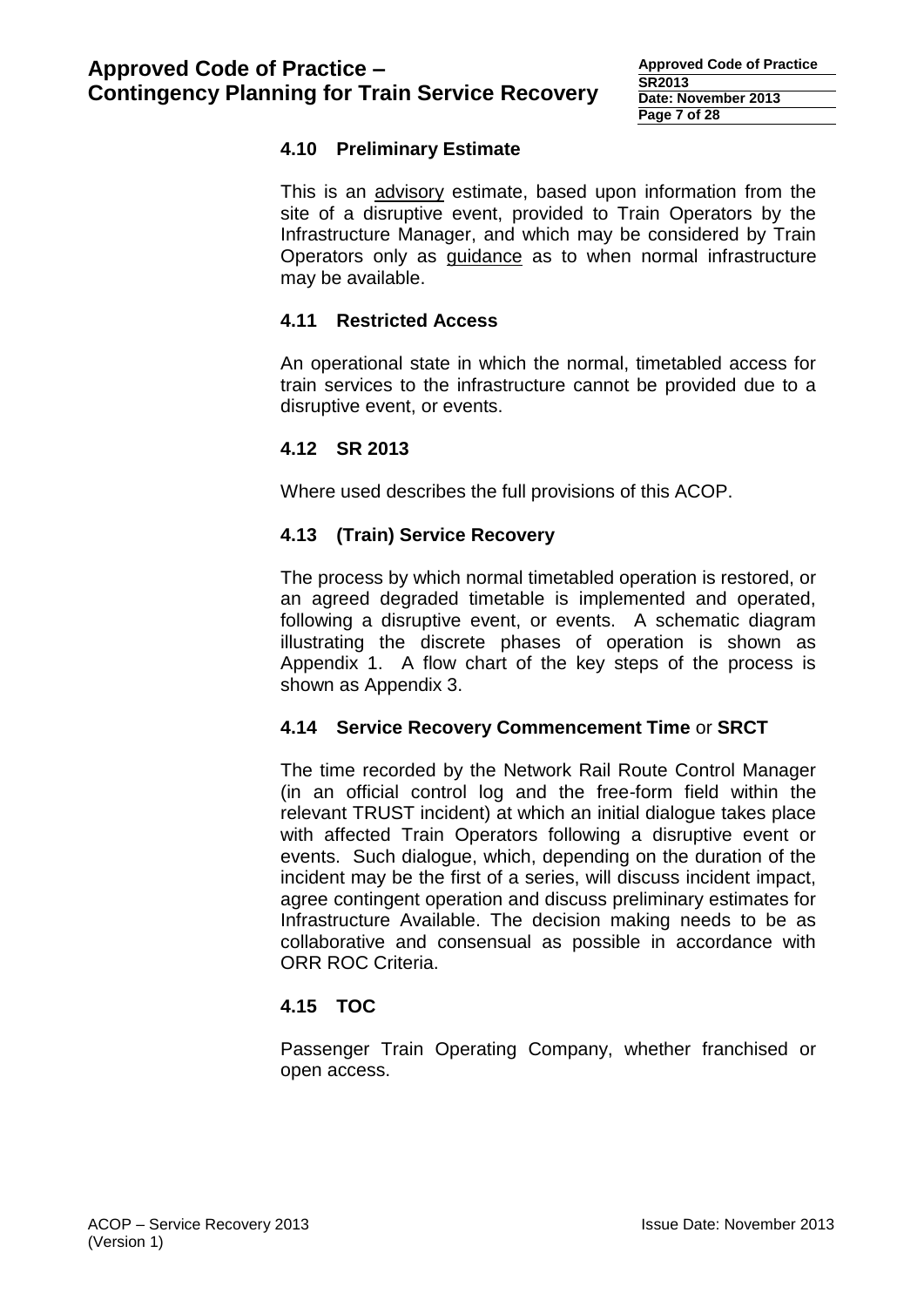## **4.10 Preliminary Estimate**

This is an advisory estimate, based upon information from the site of a disruptive event, provided to Train Operators by the Infrastructure Manager, and which may be considered by Train Operators only as guidance as to when normal infrastructure may be available.

#### **4.11 Restricted Access**

An operational state in which the normal, timetabled access for train services to the infrastructure cannot be provided due to a disruptive event, or events.

#### **4.12 SR 2013**

Where used describes the full provisions of this ACOP.

#### **4.13 (Train) Service Recovery**

The process by which normal timetabled operation is restored, or an agreed degraded timetable is implemented and operated, following a disruptive event, or events. A schematic diagram illustrating the discrete phases of operation is shown as Appendix 1. A flow chart of the key steps of the process is shown as Appendix 3.

#### **4.14 Service Recovery Commencement Time** or **SRCT**

The time recorded by the Network Rail Route Control Manager (in an official control log and the free-form field within the relevant TRUST incident) at which an initial dialogue takes place with affected Train Operators following a disruptive event or events. Such dialogue, which, depending on the duration of the incident may be the first of a series, will discuss incident impact, agree contingent operation and discuss preliminary estimates for Infrastructure Available. The decision making needs to be as collaborative and consensual as possible in accordance with ORR ROC Criteria.

#### **4.15 TOC**

Passenger Train Operating Company, whether franchised or open access.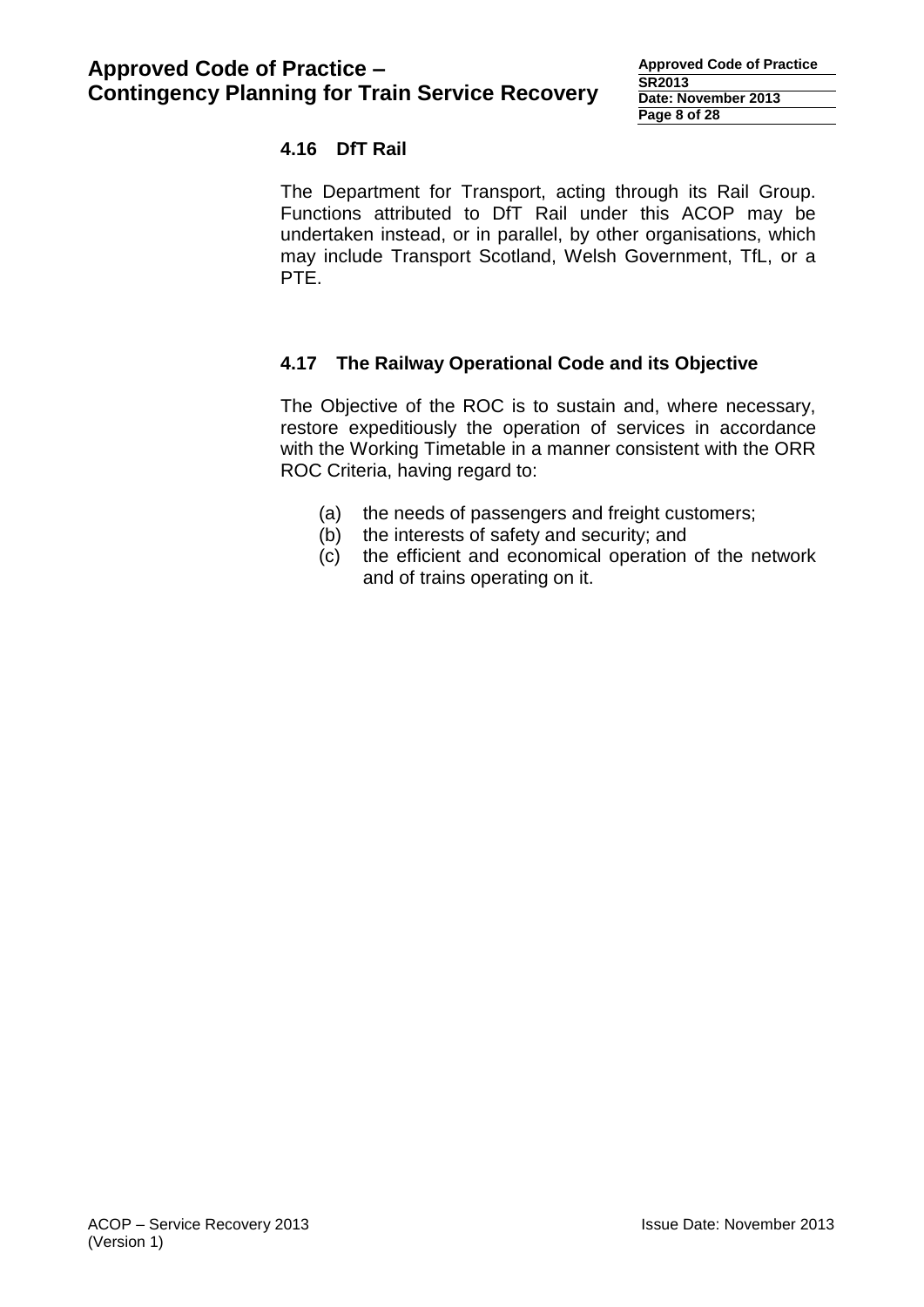## **4.16 DfT Rail**

The Department for Transport, acting through its Rail Group. Functions attributed to DfT Rail under this ACOP may be undertaken instead, or in parallel, by other organisations, which may include Transport Scotland, Welsh Government, TfL, or a PTE.

## **4.17 The Railway Operational Code and its Objective**

The Objective of the ROC is to sustain and, where necessary, restore expeditiously the operation of services in accordance with the Working Timetable in a manner consistent with the ORR ROC Criteria, having regard to:

- (a) the needs of passengers and freight customers;
- (b) the interests of safety and security; and
- (c) the efficient and economical operation of the network and of trains operating on it.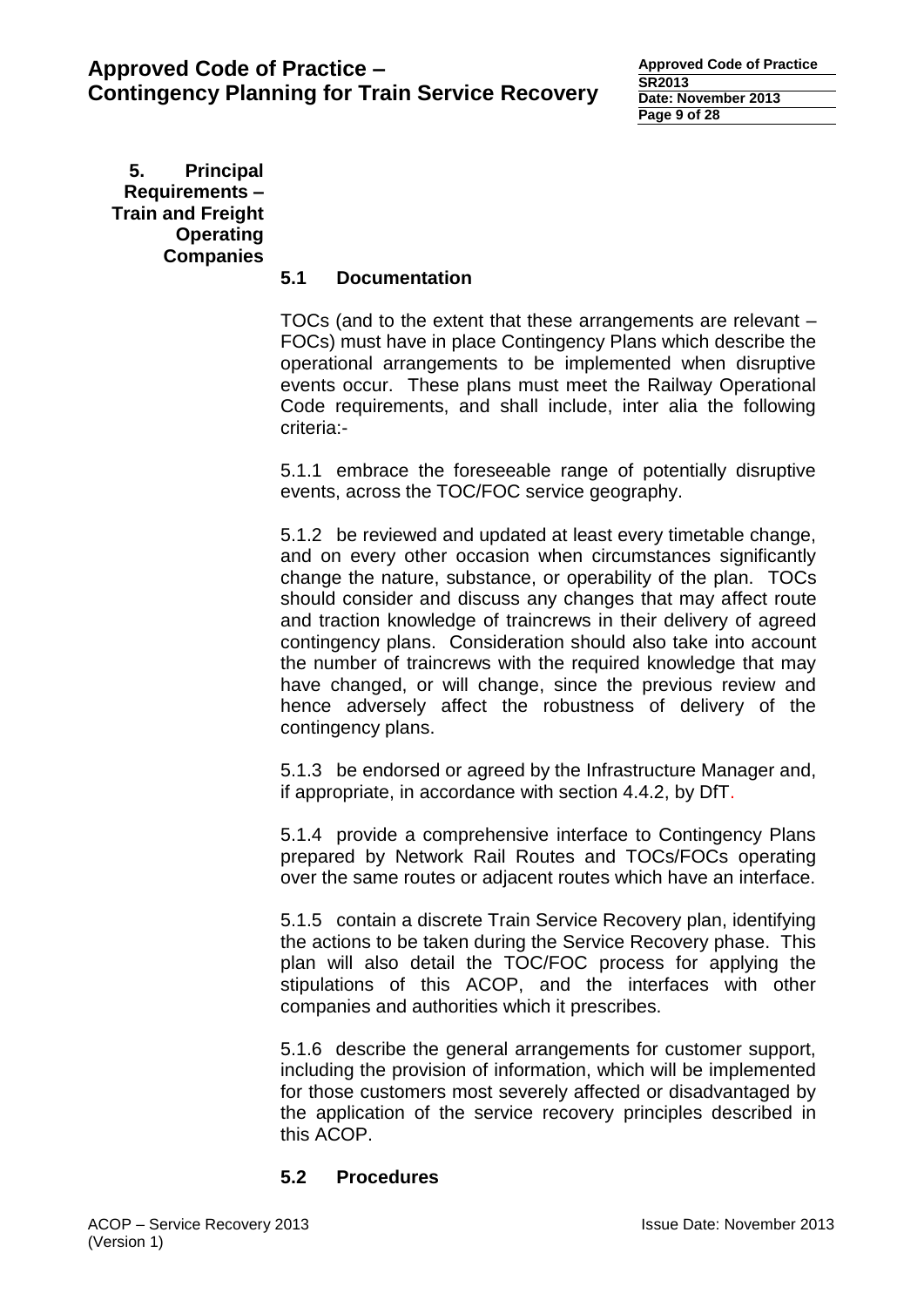**Approved Code of Practice SR2013 Date: November 2013 Page 9 of 28**

**5. Principal Requirements – Train and Freight Operating Companies**

## **5.1 Documentation**

TOCs (and to the extent that these arrangements are relevant – FOCs) must have in place Contingency Plans which describe the operational arrangements to be implemented when disruptive events occur. These plans must meet the Railway Operational Code requirements, and shall include, inter alia the following criteria:-

5.1.1 embrace the foreseeable range of potentially disruptive events, across the TOC/FOC service geography.

5.1.2 be reviewed and updated at least every timetable change, and on every other occasion when circumstances significantly change the nature, substance, or operability of the plan. TOCs should consider and discuss any changes that may affect route and traction knowledge of traincrews in their delivery of agreed contingency plans. Consideration should also take into account the number of traincrews with the required knowledge that may have changed, or will change, since the previous review and hence adversely affect the robustness of delivery of the contingency plans.

5.1.3 be endorsed or agreed by the Infrastructure Manager and, if appropriate, in accordance with section 4.4.2, by DfT.

5.1.4 provide a comprehensive interface to Contingency Plans prepared by Network Rail Routes and TOCs/FOCs operating over the same routes or adjacent routes which have an interface.

5.1.5 contain a discrete Train Service Recovery plan, identifying the actions to be taken during the Service Recovery phase. This plan will also detail the TOC/FOC process for applying the stipulations of this ACOP, and the interfaces with other companies and authorities which it prescribes.

5.1.6 describe the general arrangements for customer support, including the provision of information, which will be implemented for those customers most severely affected or disadvantaged by the application of the service recovery principles described in this ACOP.

#### **5.2 Procedures**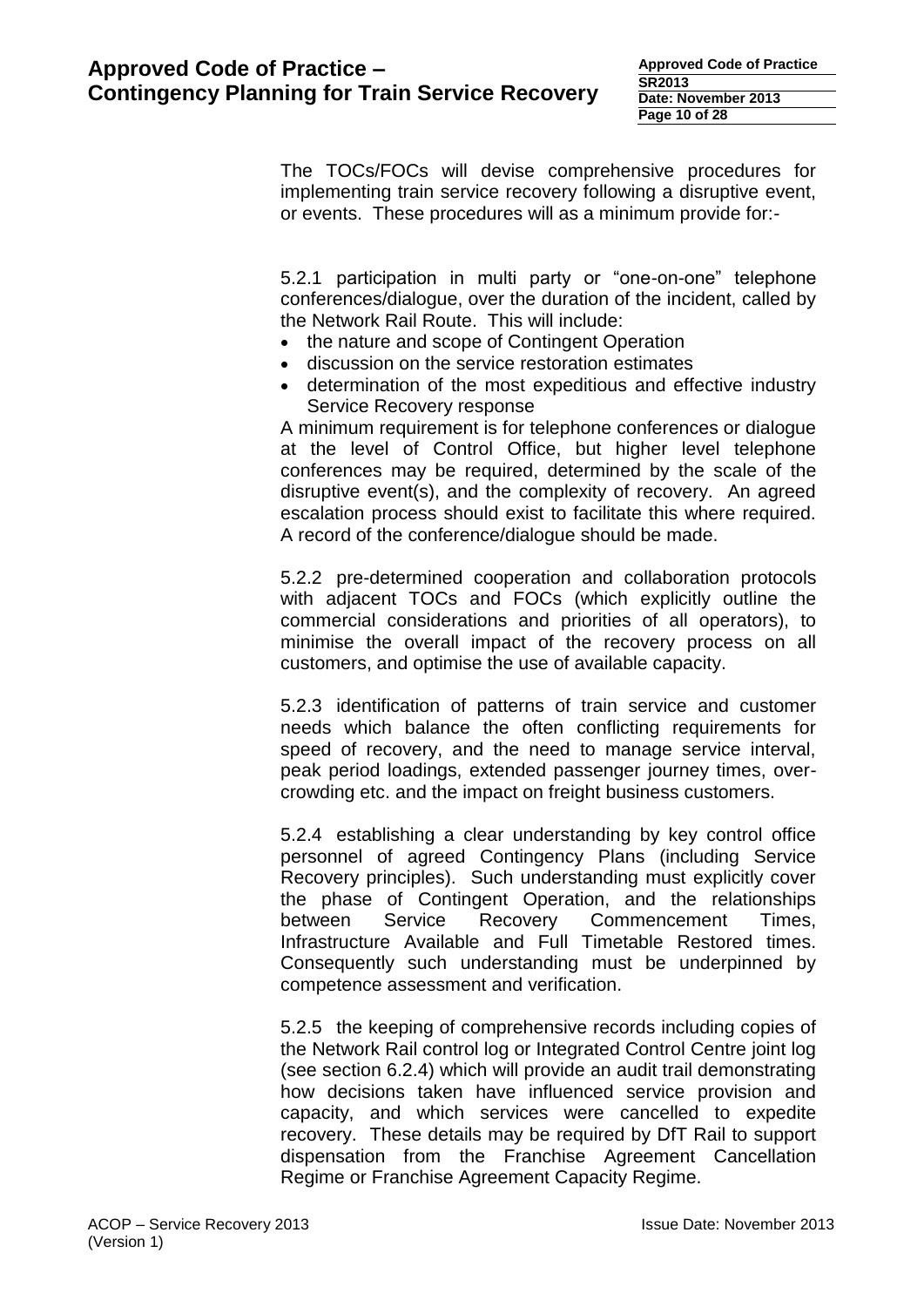The TOCs/FOCs will devise comprehensive procedures for implementing train service recovery following a disruptive event, or events. These procedures will as a minimum provide for:-

5.2.1 participation in multi party or "one-on-one" telephone conferences/dialogue, over the duration of the incident, called by the Network Rail Route. This will include:

- the nature and scope of Contingent Operation
- discussion on the service restoration estimates
- determination of the most expeditious and effective industry Service Recovery response

A minimum requirement is for telephone conferences or dialogue at the level of Control Office, but higher level telephone conferences may be required, determined by the scale of the disruptive event(s), and the complexity of recovery. An agreed escalation process should exist to facilitate this where required. A record of the conference/dialogue should be made.

5.2.2 pre-determined cooperation and collaboration protocols with adjacent TOCs and FOCs (which explicitly outline the commercial considerations and priorities of all operators), to minimise the overall impact of the recovery process on all customers, and optimise the use of available capacity.

5.2.3 identification of patterns of train service and customer needs which balance the often conflicting requirements for speed of recovery, and the need to manage service interval, peak period loadings, extended passenger journey times, overcrowding etc. and the impact on freight business customers.

5.2.4 establishing a clear understanding by key control office personnel of agreed Contingency Plans (including Service Recovery principles). Such understanding must explicitly cover the phase of Contingent Operation, and the relationships between Service Recovery Commencement Times, Infrastructure Available and Full Timetable Restored times. Consequently such understanding must be underpinned by competence assessment and verification.

5.2.5 the keeping of comprehensive records including copies of the Network Rail control log or Integrated Control Centre joint log (see section 6.2.4) which will provide an audit trail demonstrating how decisions taken have influenced service provision and capacity, and which services were cancelled to expedite recovery. These details may be required by DfT Rail to support dispensation from the Franchise Agreement Cancellation Regime or Franchise Agreement Capacity Regime.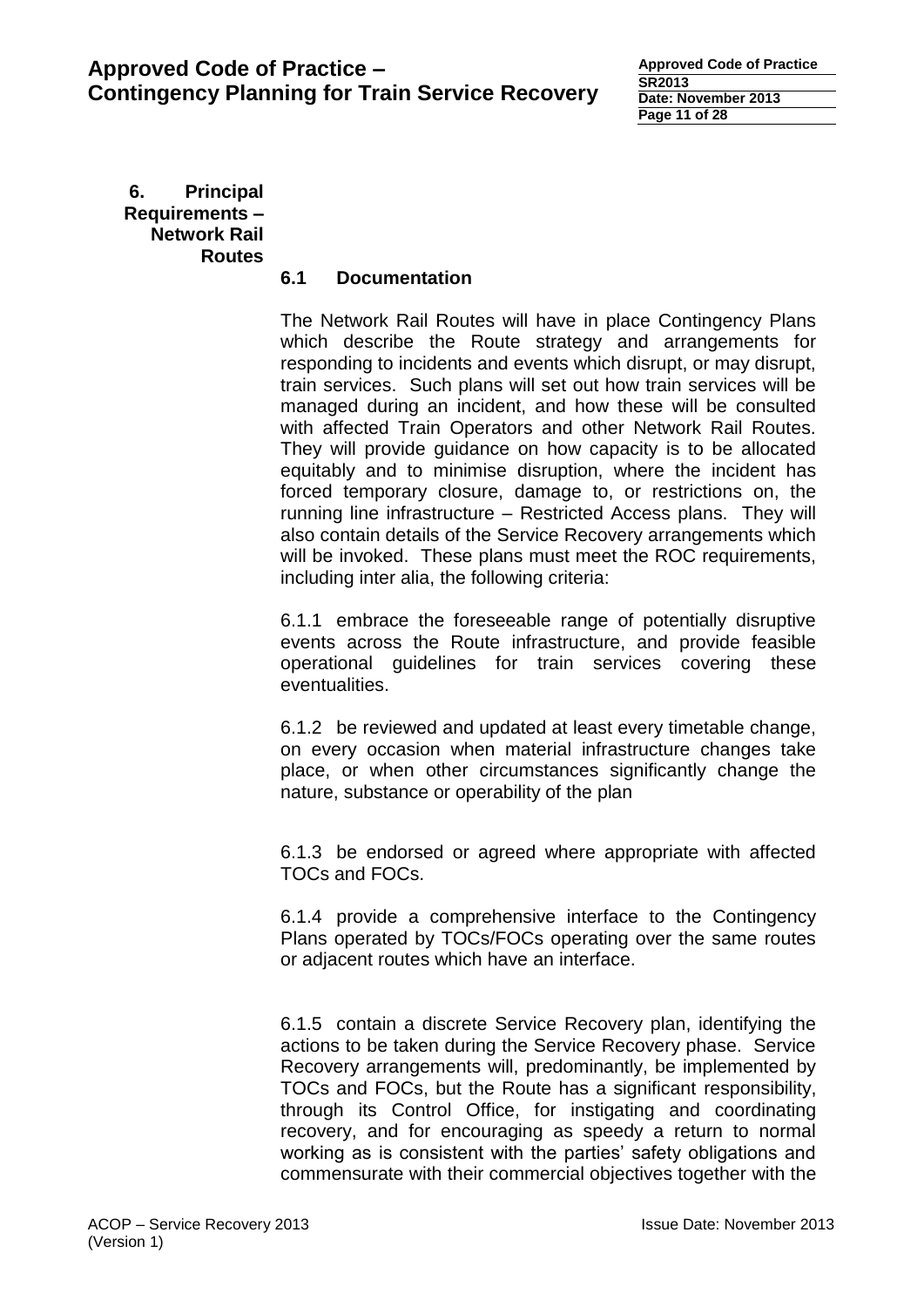**Approved Code of Practice SR2013 Date: November 2013 Page 11 of 28**

**6. Principal Requirements – Network Rail Routes** 

## **6.1 Documentation**

The Network Rail Routes will have in place Contingency Plans which describe the Route strategy and arrangements for responding to incidents and events which disrupt, or may disrupt, train services. Such plans will set out how train services will be managed during an incident, and how these will be consulted with affected Train Operators and other Network Rail Routes. They will provide guidance on how capacity is to be allocated equitably and to minimise disruption, where the incident has forced temporary closure, damage to, or restrictions on, the running line infrastructure – Restricted Access plans. They will also contain details of the Service Recovery arrangements which will be invoked. These plans must meet the ROC requirements, including inter alia, the following criteria:

6.1.1 embrace the foreseeable range of potentially disruptive events across the Route infrastructure, and provide feasible operational guidelines for train services covering these eventualities.

6.1.2 be reviewed and updated at least every timetable change, on every occasion when material infrastructure changes take place, or when other circumstances significantly change the nature, substance or operability of the plan

6.1.3 be endorsed or agreed where appropriate with affected TOCs and FOCs.

6.1.4 provide a comprehensive interface to the Contingency Plans operated by TOCs/FOCs operating over the same routes or adjacent routes which have an interface.

6.1.5 contain a discrete Service Recovery plan, identifying the actions to be taken during the Service Recovery phase. Service Recovery arrangements will, predominantly, be implemented by TOCs and FOCs, but the Route has a significant responsibility, through its Control Office, for instigating and coordinating recovery, and for encouraging as speedy a return to normal working as is consistent with the parties' safety obligations and commensurate with their commercial objectives together with the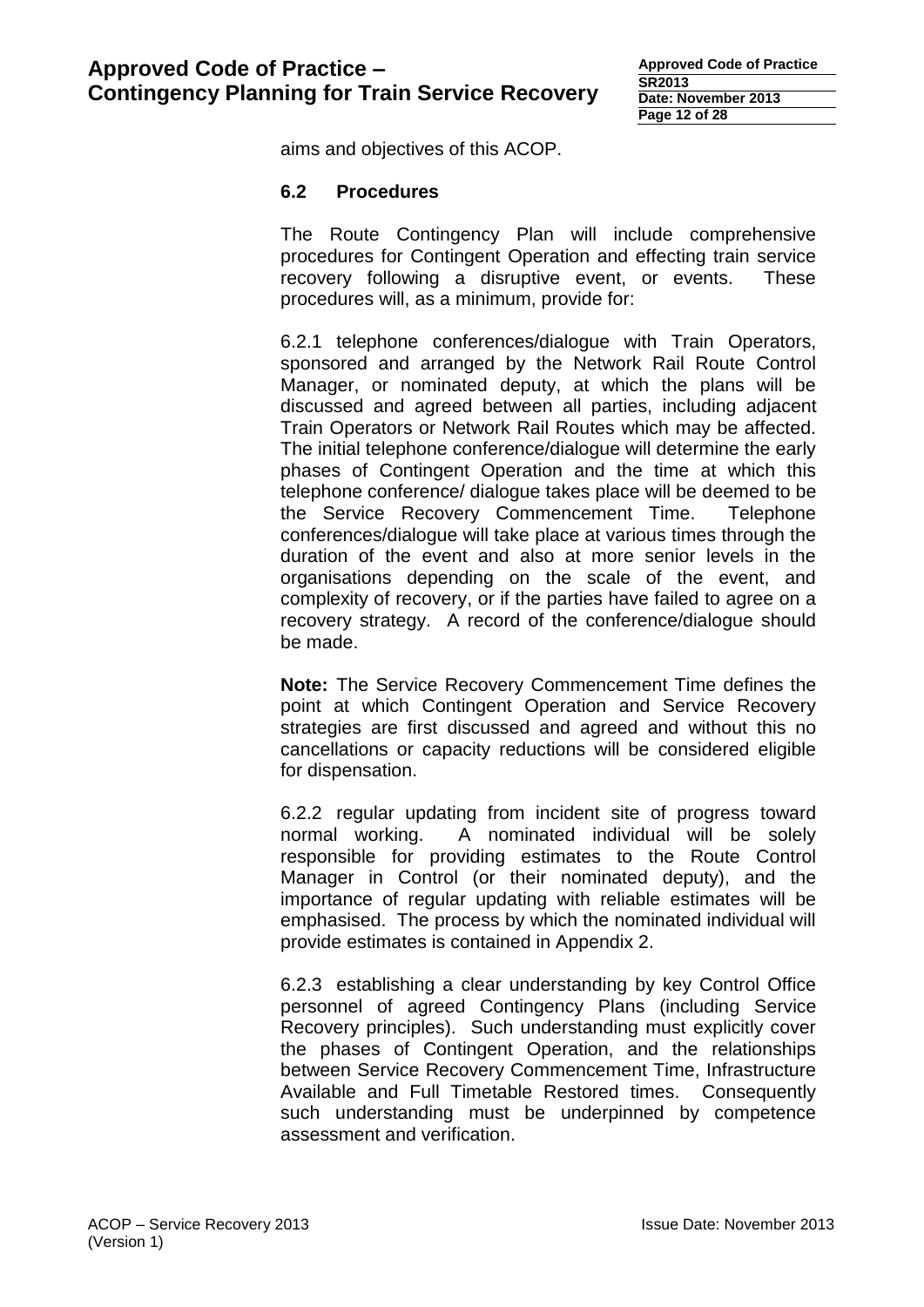aims and objectives of this ACOP.

#### **6.2 Procedures**

The Route Contingency Plan will include comprehensive procedures for Contingent Operation and effecting train service recovery following a disruptive event, or events. These procedures will, as a minimum, provide for:

6.2.1 telephone conferences/dialogue with Train Operators, sponsored and arranged by the Network Rail Route Control Manager, or nominated deputy, at which the plans will be discussed and agreed between all parties, including adjacent Train Operators or Network Rail Routes which may be affected. The initial telephone conference/dialogue will determine the early phases of Contingent Operation and the time at which this telephone conference/ dialogue takes place will be deemed to be the Service Recovery Commencement Time. Telephone conferences/dialogue will take place at various times through the duration of the event and also at more senior levels in the organisations depending on the scale of the event, and complexity of recovery, or if the parties have failed to agree on a recovery strategy. A record of the conference/dialogue should be made.

**Note:** The Service Recovery Commencement Time defines the point at which Contingent Operation and Service Recovery strategies are first discussed and agreed and without this no cancellations or capacity reductions will be considered eligible for dispensation.

6.2.2 regular updating from incident site of progress toward normal working. A nominated individual will be solely responsible for providing estimates to the Route Control Manager in Control (or their nominated deputy), and the importance of regular updating with reliable estimates will be emphasised. The process by which the nominated individual will provide estimates is contained in Appendix 2.

6.2.3 establishing a clear understanding by key Control Office personnel of agreed Contingency Plans (including Service Recovery principles). Such understanding must explicitly cover the phases of Contingent Operation, and the relationships between Service Recovery Commencement Time, Infrastructure Available and Full Timetable Restored times. Consequently such understanding must be underpinned by competence assessment and verification.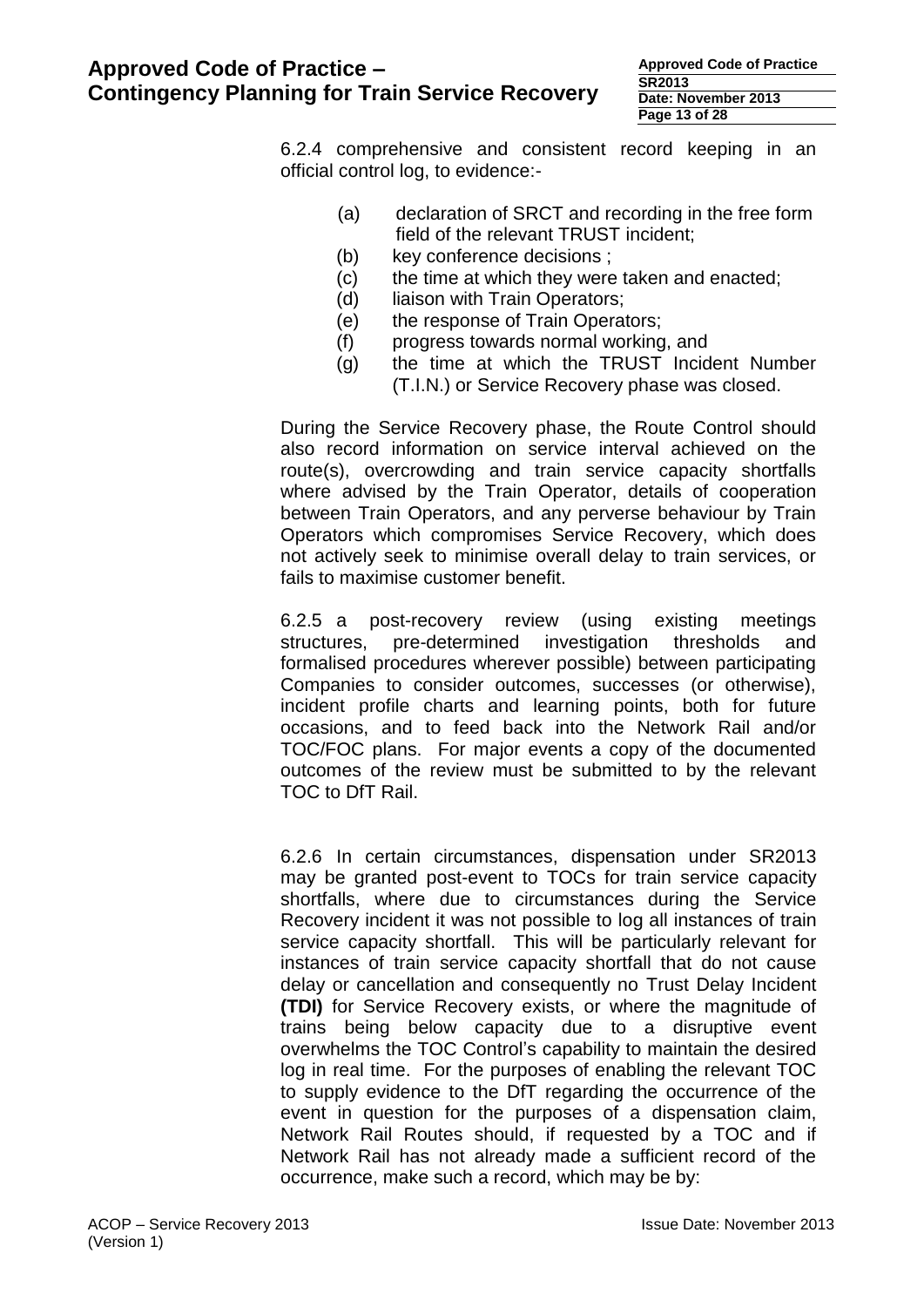| <b>Approved Code of Practice</b> |  |  |  |  |  |
|----------------------------------|--|--|--|--|--|
| <b>SR2013</b>                    |  |  |  |  |  |
| Date: November 2013              |  |  |  |  |  |
| Page 13 of 28                    |  |  |  |  |  |

6.2.4 comprehensive and consistent record keeping in an official control log, to evidence:-

- (a) declaration of SRCT and recording in the free form field of the relevant TRUST incident;
- (b) key conference decisions ;
- (c) the time at which they were taken and enacted;
- (d) liaison with Train Operators;
- (e) the response of Train Operators;
- (f) progress towards normal working, and
- (g) the time at which the TRUST Incident Number
	- (T.I.N.) or Service Recovery phase was closed.

During the Service Recovery phase, the Route Control should also record information on service interval achieved on the route(s), overcrowding and train service capacity shortfalls where advised by the Train Operator, details of cooperation between Train Operators, and any perverse behaviour by Train Operators which compromises Service Recovery, which does not actively seek to minimise overall delay to train services, or fails to maximise customer benefit.

6.2.5 a post-recovery review (using existing meetings structures, pre-determined investigation thresholds and formalised procedures wherever possible) between participating Companies to consider outcomes, successes (or otherwise), incident profile charts and learning points, both for future occasions, and to feed back into the Network Rail and/or TOC/FOC plans. For major events a copy of the documented outcomes of the review must be submitted to by the relevant TOC to DfT Rail.

6.2.6 In certain circumstances, dispensation under SR2013 may be granted post-event to TOCs for train service capacity shortfalls, where due to circumstances during the Service Recovery incident it was not possible to log all instances of train service capacity shortfall. This will be particularly relevant for instances of train service capacity shortfall that do not cause delay or cancellation and consequently no Trust Delay Incident **(TDI)** for Service Recovery exists, or where the magnitude of trains being below capacity due to a disruptive event overwhelms the TOC Control's capability to maintain the desired log in real time. For the purposes of enabling the relevant TOC to supply evidence to the DfT regarding the occurrence of the event in question for the purposes of a dispensation claim, Network Rail Routes should, if requested by a TOC and if Network Rail has not already made a sufficient record of the occurrence, make such a record, which may be by: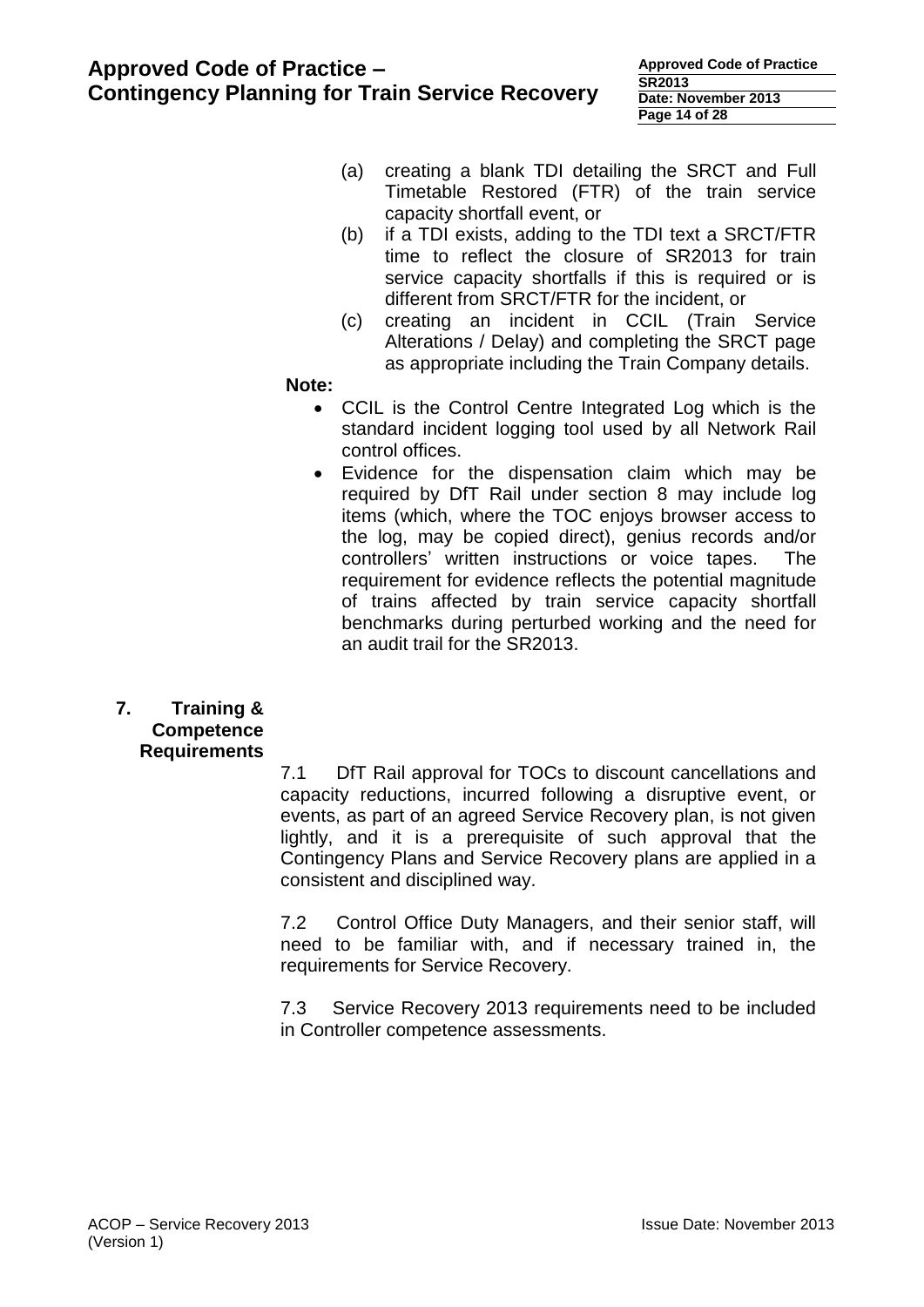| <b>Approved Code of Practice</b> |  |  |  |  |
|----------------------------------|--|--|--|--|
| <b>SR2013</b>                    |  |  |  |  |
| Date: November 2013              |  |  |  |  |
| Page 14 of 28                    |  |  |  |  |

- (a) creating a blank TDI detailing the SRCT and Full Timetable Restored (FTR) of the train service capacity shortfall event, or
- (b) if a TDI exists, adding to the TDI text a SRCT/FTR time to reflect the closure of SR2013 for train service capacity shortfalls if this is required or is different from SRCT/FTR for the incident, or
- (c) creating an incident in CCIL (Train Service Alterations / Delay) and completing the SRCT page as appropriate including the Train Company details.

#### **Note:**

- CCIL is the Control Centre Integrated Log which is the standard incident logging tool used by all Network Rail control offices.
- Evidence for the dispensation claim which may be required by DfT Rail under section 8 may include log items (which, where the TOC enjoys browser access to the log, may be copied direct), genius records and/or controllers' written instructions or voice tapes. The requirement for evidence reflects the potential magnitude of trains affected by train service capacity shortfall benchmarks during perturbed working and the need for an audit trail for the SR2013.
- **7. Training & Competence Requirements**

7.1 DfT Rail approval for TOCs to discount cancellations and capacity reductions, incurred following a disruptive event, or events, as part of an agreed Service Recovery plan, is not given lightly, and it is a prerequisite of such approval that the Contingency Plans and Service Recovery plans are applied in a consistent and disciplined way.

7.2 Control Office Duty Managers, and their senior staff, will need to be familiar with, and if necessary trained in, the requirements for Service Recovery.

7.3 Service Recovery 2013 requirements need to be included in Controller competence assessments.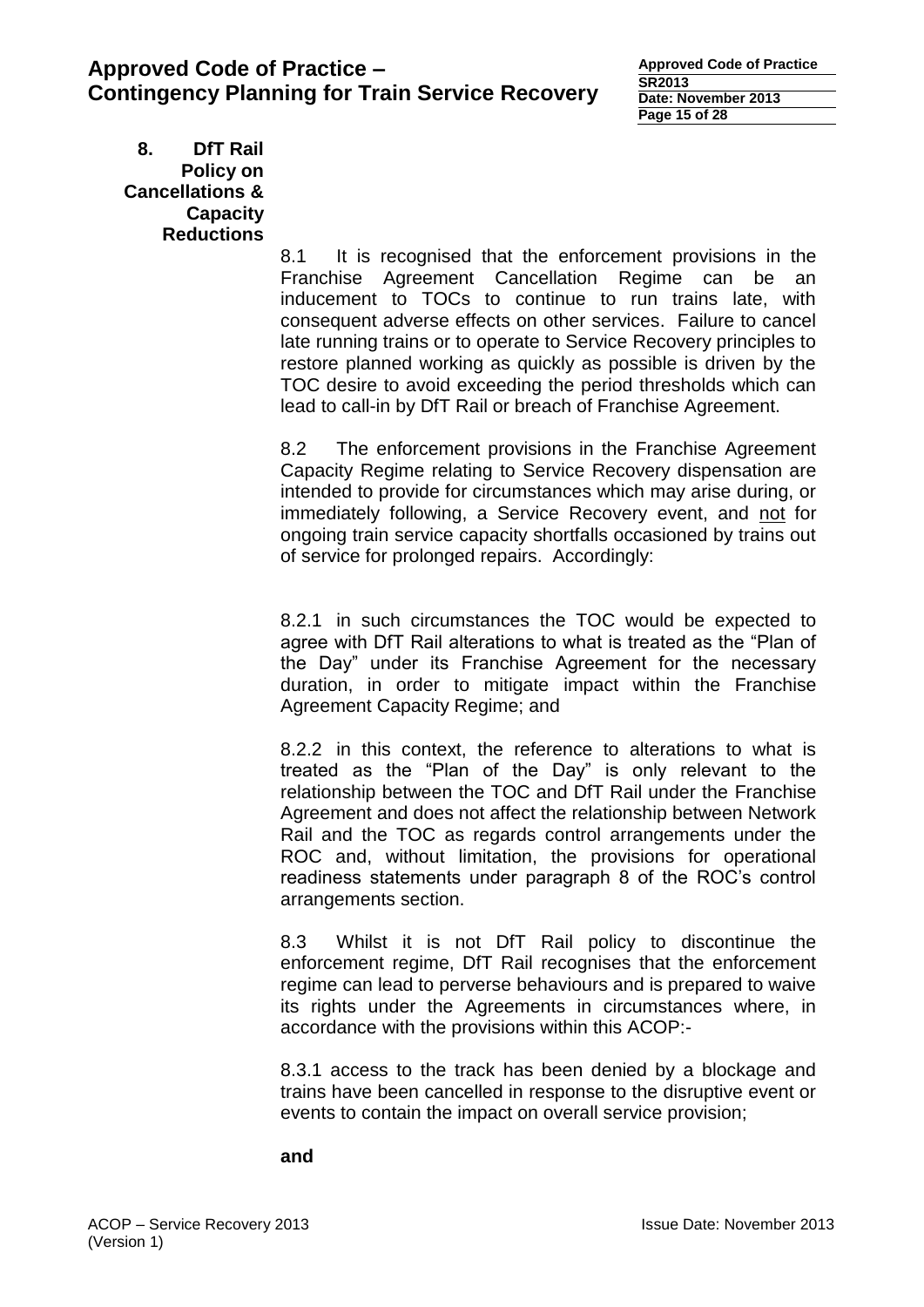**Approved Code of Practice SR2013 Date: November 2013 Page 15 of 28**

**8. DfT Rail Policy on Cancellations & Capacity Reductions**

8.1 It is recognised that the enforcement provisions in the Franchise Agreement Cancellation Regime can be an inducement to TOCs to continue to run trains late, with consequent adverse effects on other services. Failure to cancel late running trains or to operate to Service Recovery principles to restore planned working as quickly as possible is driven by the TOC desire to avoid exceeding the period thresholds which can lead to call-in by DfT Rail or breach of Franchise Agreement.

8.2 The enforcement provisions in the Franchise Agreement Capacity Regime relating to Service Recovery dispensation are intended to provide for circumstances which may arise during, or immediately following, a Service Recovery event, and not for ongoing train service capacity shortfalls occasioned by trains out of service for prolonged repairs. Accordingly:

8.2.1 in such circumstances the TOC would be expected to agree with DfT Rail alterations to what is treated as the "Plan of the Day" under its Franchise Agreement for the necessary duration, in order to mitigate impact within the Franchise Agreement Capacity Regime; and

8.2.2 in this context, the reference to alterations to what is treated as the "Plan of the Day" is only relevant to the relationship between the TOC and DfT Rail under the Franchise Agreement and does not affect the relationship between Network Rail and the TOC as regards control arrangements under the ROC and, without limitation, the provisions for operational readiness statements under paragraph 8 of the ROC's control arrangements section.

8.3 Whilst it is not DfT Rail policy to discontinue the enforcement regime, DfT Rail recognises that the enforcement regime can lead to perverse behaviours and is prepared to waive its rights under the Agreements in circumstances where, in accordance with the provisions within this ACOP:-

8.3.1 access to the track has been denied by a blockage and trains have been cancelled in response to the disruptive event or events to contain the impact on overall service provision;

**and**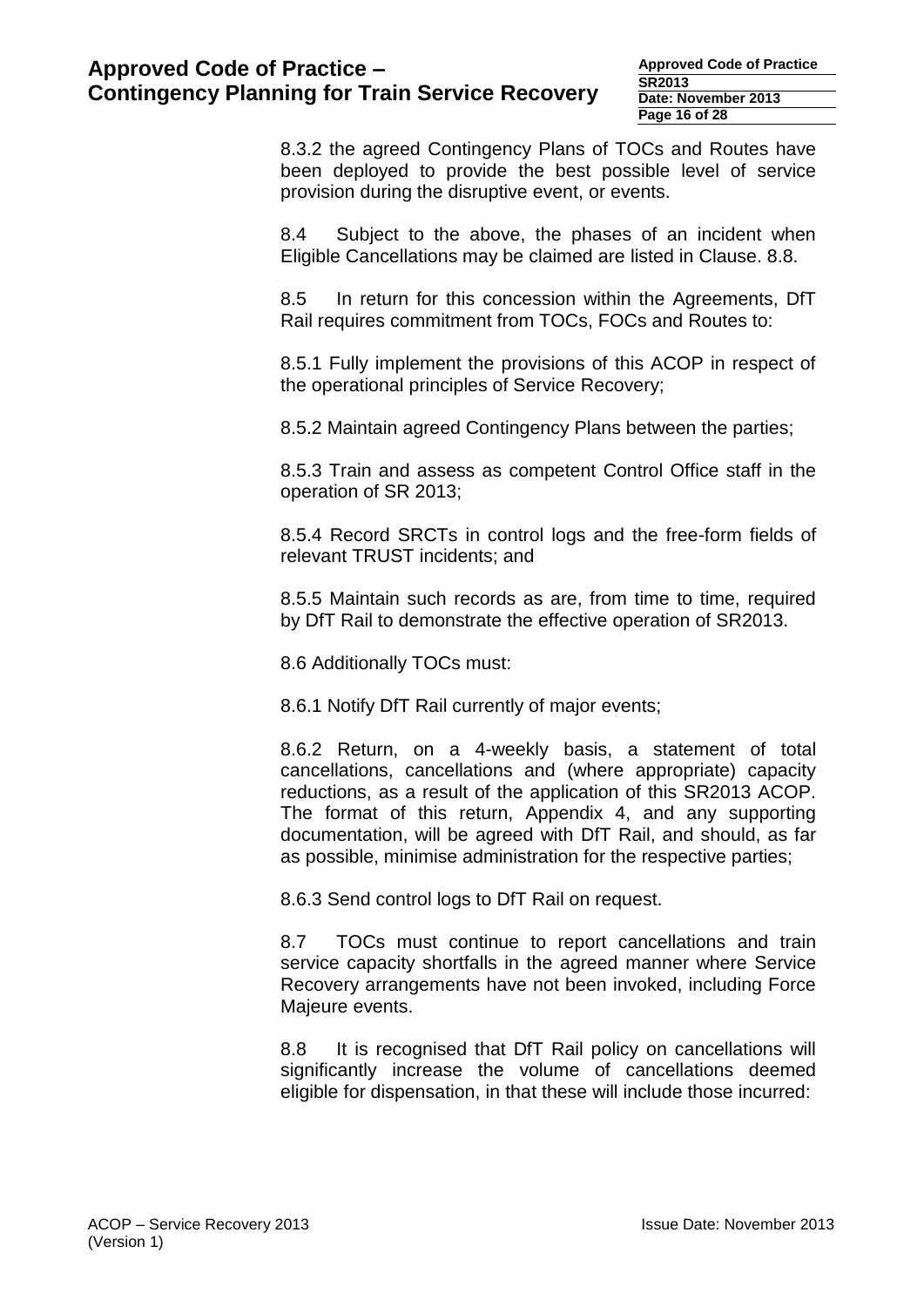**Approved Code of Practice SR2013 Date: November 2013 Page 16 of 28**

8.3.2 the agreed Contingency Plans of TOCs and Routes have been deployed to provide the best possible level of service provision during the disruptive event, or events.

8.4 Subject to the above, the phases of an incident when Eligible Cancellations may be claimed are listed in Clause. 8.8.

8.5 In return for this concession within the Agreements, DfT Rail requires commitment from TOCs, FOCs and Routes to:

8.5.1 Fully implement the provisions of this ACOP in respect of the operational principles of Service Recovery;

8.5.2 Maintain agreed Contingency Plans between the parties;

8.5.3 Train and assess as competent Control Office staff in the operation of SR 2013;

8.5.4 Record SRCTs in control logs and the free-form fields of relevant TRUST incidents; and

8.5.5 Maintain such records as are, from time to time, required by DfT Rail to demonstrate the effective operation of SR2013.

8.6 Additionally TOCs must:

8.6.1 Notify DfT Rail currently of major events;

8.6.2 Return, on a 4-weekly basis, a statement of total cancellations, cancellations and (where appropriate) capacity reductions, as a result of the application of this SR2013 ACOP. The format of this return, Appendix 4, and any supporting documentation, will be agreed with DfT Rail, and should, as far as possible, minimise administration for the respective parties;

8.6.3 Send control logs to DfT Rail on request.

8.7 TOCs must continue to report cancellations and train service capacity shortfalls in the agreed manner where Service Recovery arrangements have not been invoked, including Force Majeure events.

8.8 It is recognised that DfT Rail policy on cancellations will significantly increase the volume of cancellations deemed eligible for dispensation, in that these will include those incurred: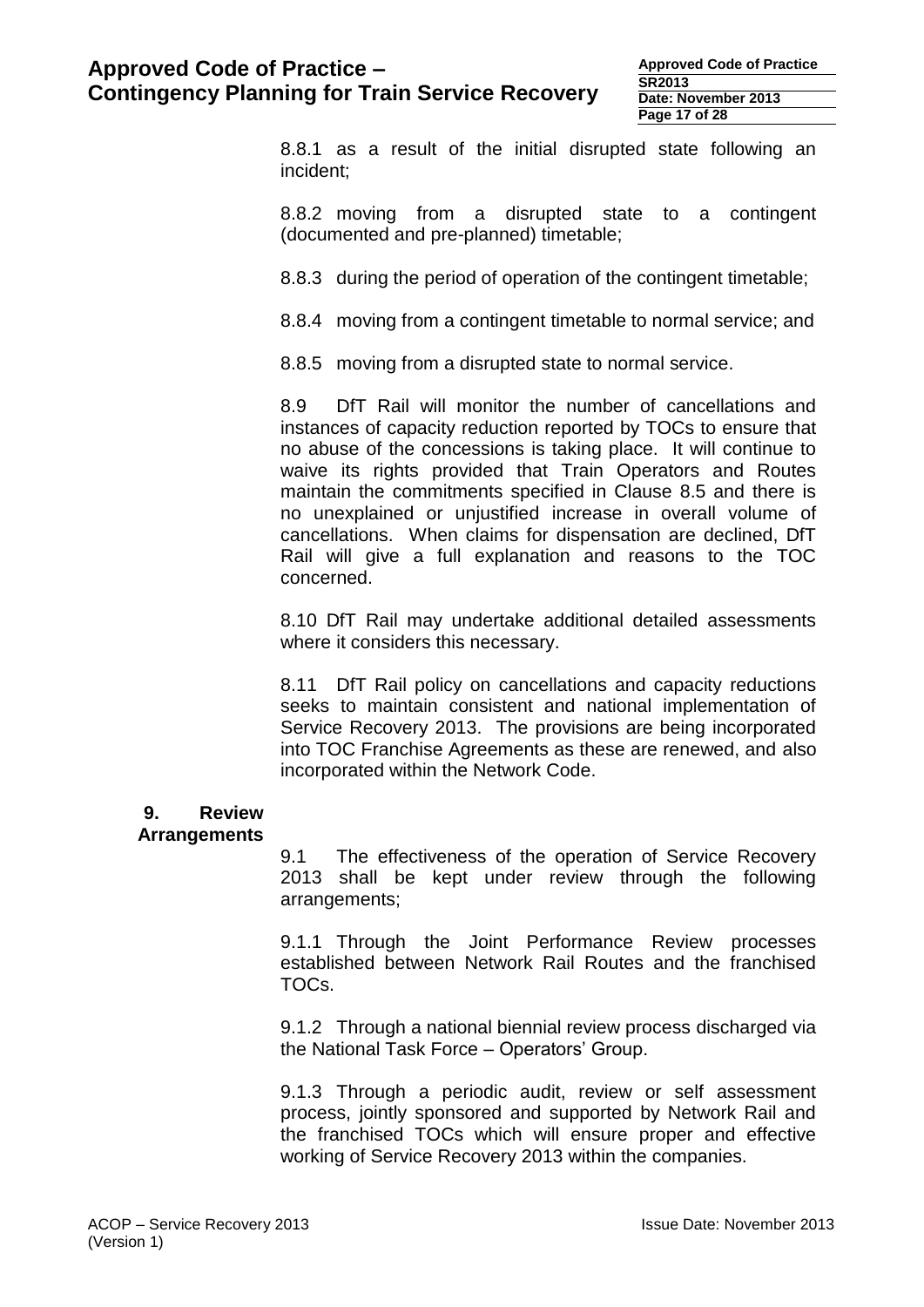**Approved Code of Practice SR2013 Date: November 2013 Page 17 of 28**

8.8.1 as a result of the initial disrupted state following an incident;

8.8.2 moving from a disrupted state to a contingent (documented and pre-planned) timetable;

8.8.3 during the period of operation of the contingent timetable;

8.8.4 moving from a contingent timetable to normal service; and

8.8.5 moving from a disrupted state to normal service.

8.9 DfT Rail will monitor the number of cancellations and instances of capacity reduction reported by TOCs to ensure that no abuse of the concessions is taking place. It will continue to waive its rights provided that Train Operators and Routes maintain the commitments specified in Clause 8.5 and there is no unexplained or unjustified increase in overall volume of cancellations. When claims for dispensation are declined, DfT Rail will give a full explanation and reasons to the TOC concerned.

8.10 DfT Rail may undertake additional detailed assessments where it considers this necessary.

8.11 DfT Rail policy on cancellations and capacity reductions seeks to maintain consistent and national implementation of Service Recovery 2013. The provisions are being incorporated into TOC Franchise Agreements as these are renewed, and also incorporated within the Network Code.

# **9. Review**

#### **Arrangements**

9.1 The effectiveness of the operation of Service Recovery 2013 shall be kept under review through the following arrangements;

9.1.1 Through the Joint Performance Review processes established between Network Rail Routes and the franchised TOCs.

9.1.2 Through a national biennial review process discharged via the National Task Force – Operators' Group.

9.1.3 Through a periodic audit, review or self assessment process, jointly sponsored and supported by Network Rail and the franchised TOCs which will ensure proper and effective working of Service Recovery 2013 within the companies.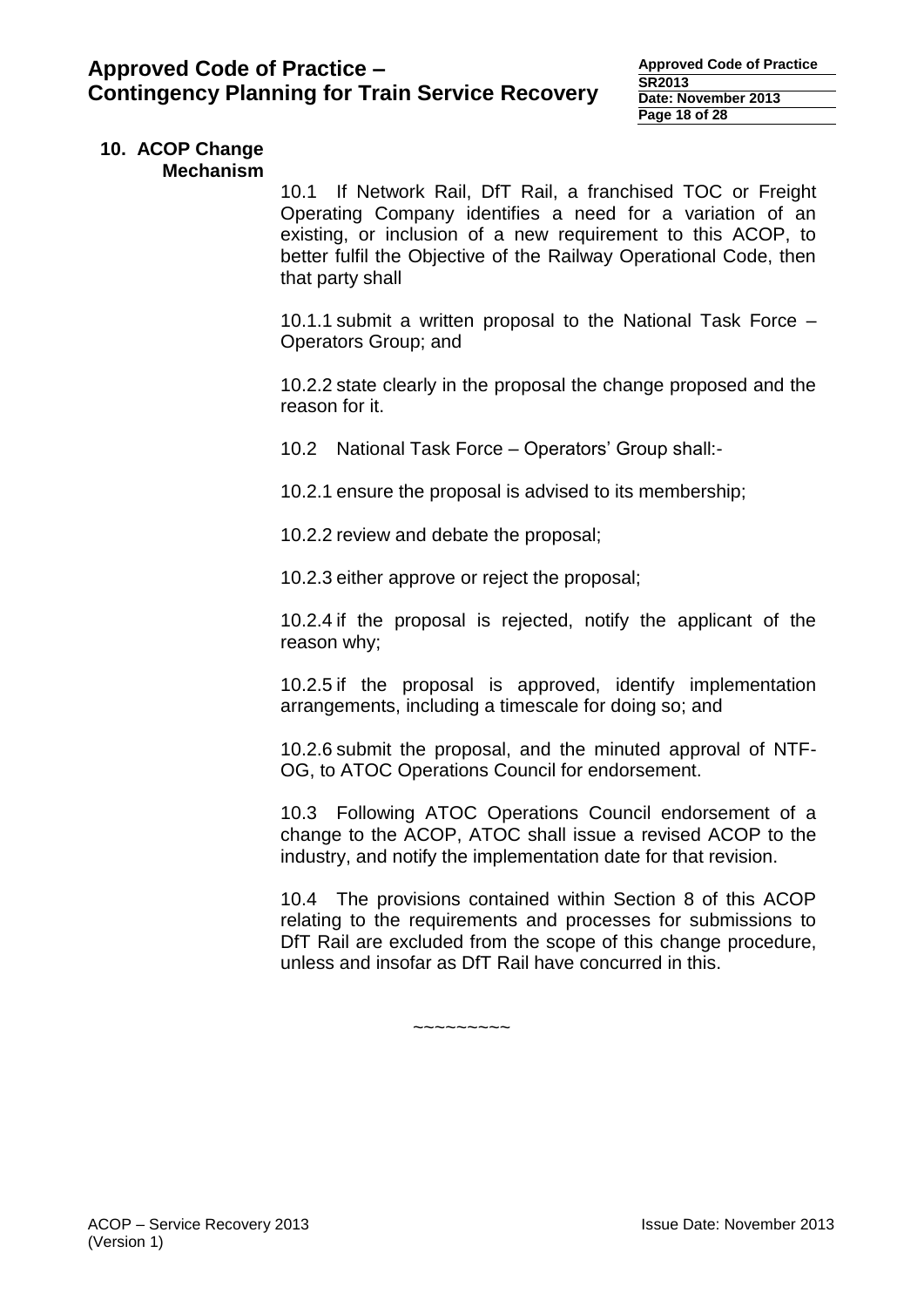#### **10. ACOP Change Mechanism**

10.1 If Network Rail, DfT Rail, a franchised TOC or Freight Operating Company identifies a need for a variation of an existing, or inclusion of a new requirement to this ACOP, to better fulfil the Objective of the Railway Operational Code, then that party shall

10.1.1 submit a written proposal to the National Task Force – Operators Group; and

10.2.2 state clearly in the proposal the change proposed and the reason for it.

10.2 National Task Force – Operators' Group shall:-

10.2.1 ensure the proposal is advised to its membership;

10.2.2 review and debate the proposal;

10.2.3 either approve or reject the proposal;

10.2.4 if the proposal is rejected, notify the applicant of the reason why;

10.2.5 if the proposal is approved, identify implementation arrangements, including a timescale for doing so; and

10.2.6 submit the proposal, and the minuted approval of NTF-OG, to ATOC Operations Council for endorsement.

10.3 Following ATOC Operations Council endorsement of a change to the ACOP, ATOC shall issue a revised ACOP to the industry, and notify the implementation date for that revision.

10.4 The provisions contained within Section 8 of this ACOP relating to the requirements and processes for submissions to DfT Rail are excluded from the scope of this change procedure, unless and insofar as DfT Rail have concurred in this.

~~~~~~~~~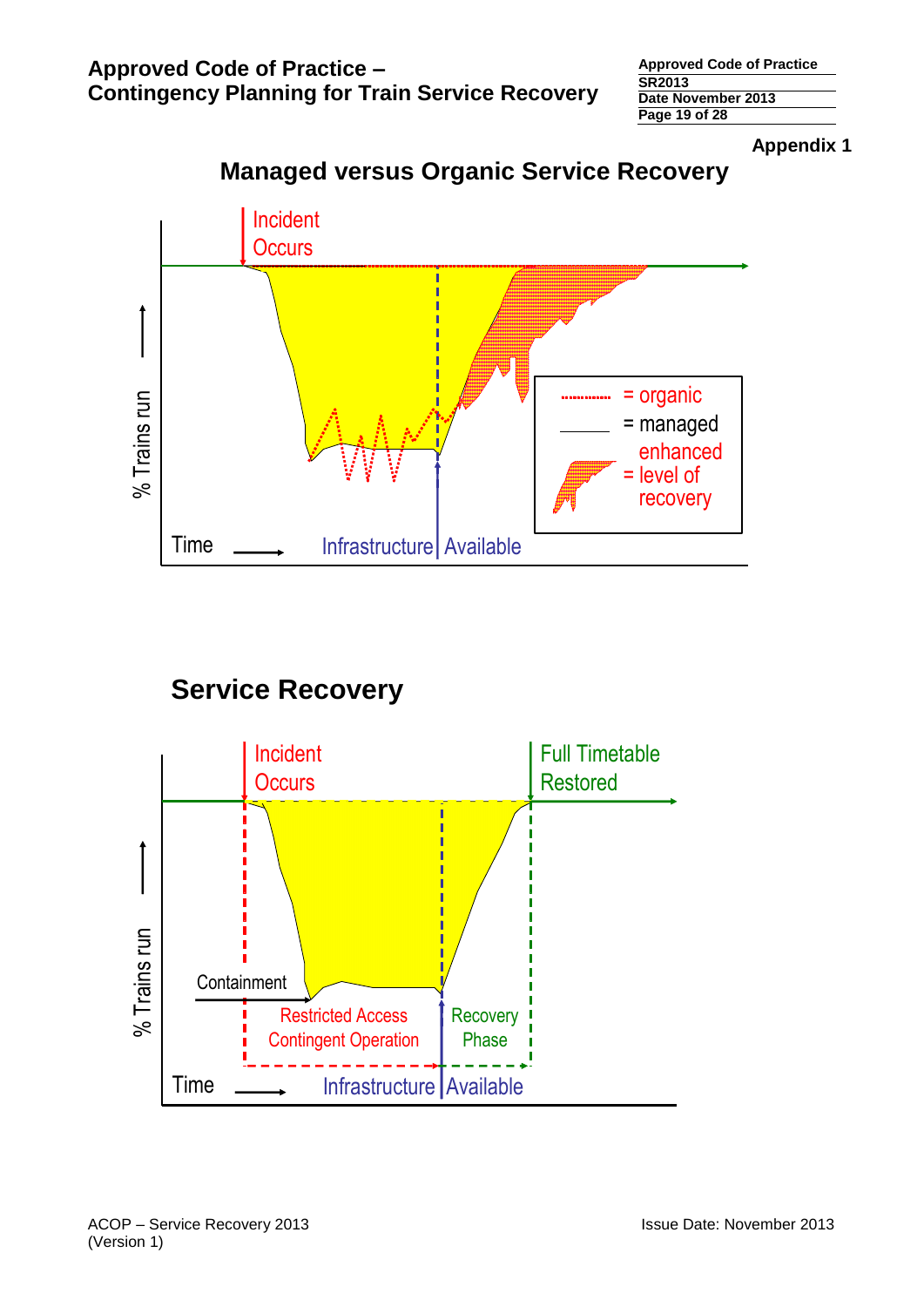**Approved Code of Practice SR2013 Date November 2013 Page 19 of 28**

**Appendix 1**



# **Managed versus Organic Service Recovery**

# **Service Recovery**

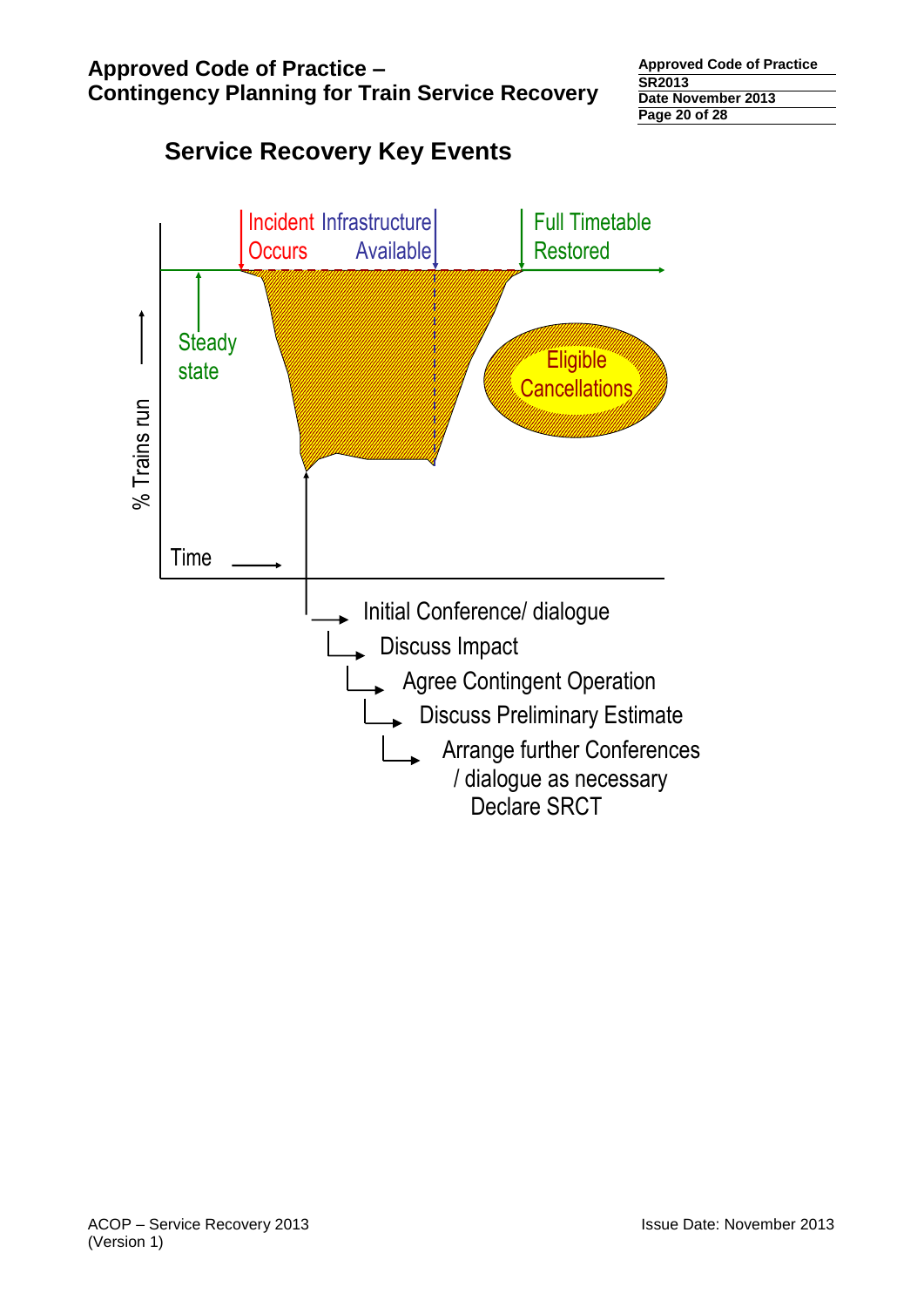# % Trains run Incident Infrastructure **Occurs** Full Timetable Restored Available Time **Steady** state **Contract Contract Contract Contract Contract Contract Contract Contract Contract Contract Contract Contract Contract Contract Contract Contract Contract Contract Contract Contract Contract Contract Contract Contract** Cancellations Initial Conference/ dialogue Discuss Impact Agree Contingent Operation **Discuss Preliminary Estimate**  Arrange further Conferences / dialogue as necessary Declare SRCT

# **Service Recovery Key Events**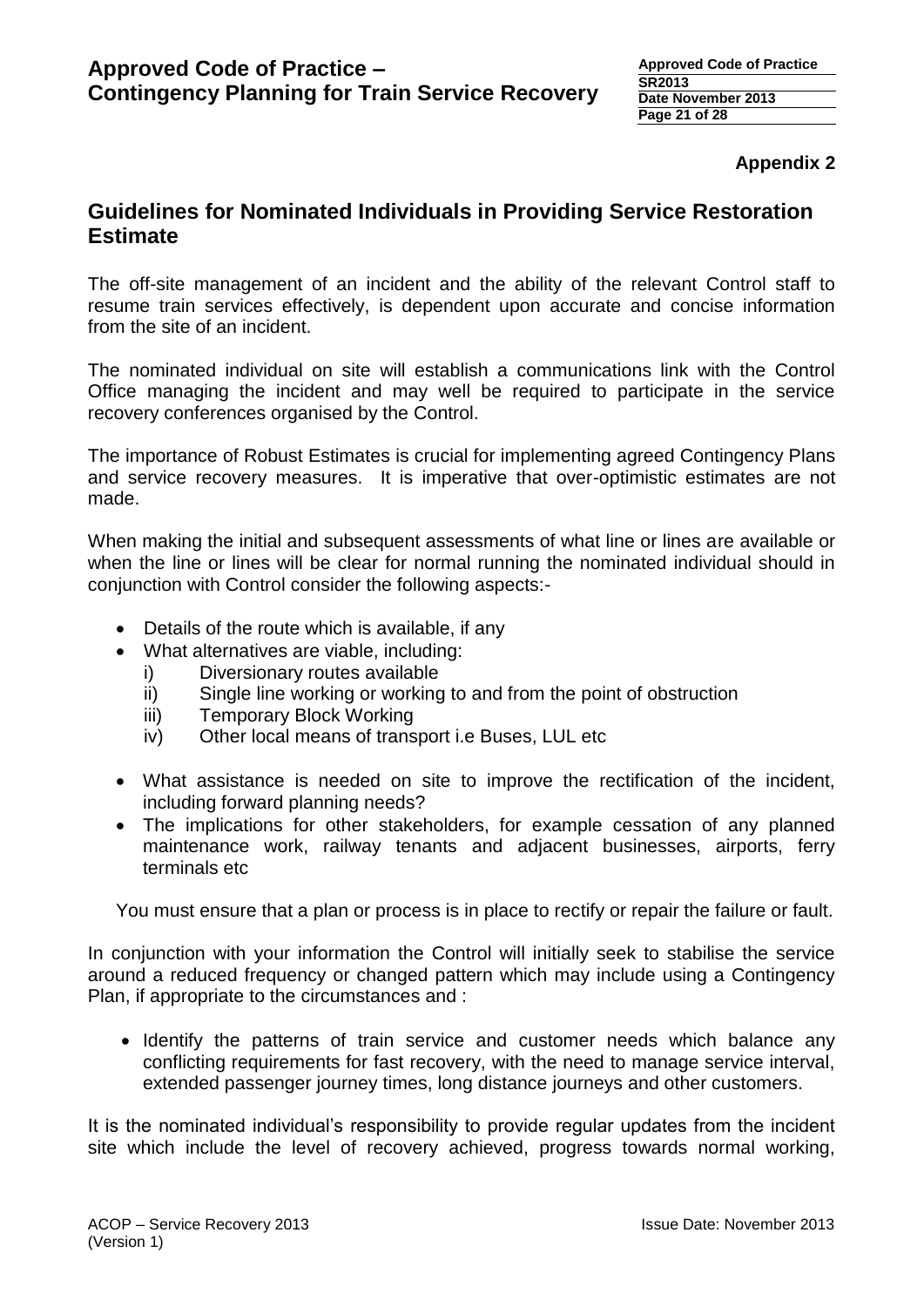## **Appendix 2**

# **Guidelines for Nominated Individuals in Providing Service Restoration Estimate**

The off-site management of an incident and the ability of the relevant Control staff to resume train services effectively, is dependent upon accurate and concise information from the site of an incident.

The nominated individual on site will establish a communications link with the Control Office managing the incident and may well be required to participate in the service recovery conferences organised by the Control.

The importance of Robust Estimates is crucial for implementing agreed Contingency Plans and service recovery measures. It is imperative that over-optimistic estimates are not made.

When making the initial and subsequent assessments of what line or lines are available or when the line or lines will be clear for normal running the nominated individual should in conjunction with Control consider the following aspects:-

- Details of the route which is available, if any
- What alternatives are viable, including:
	- i) Diversionary routes available
	- ii) Single line working or working to and from the point of obstruction
	- iii) Temporary Block Working
	- iv) Other local means of transport i.e Buses, LUL etc
- What assistance is needed on site to improve the rectification of the incident, including forward planning needs?
- The implications for other stakeholders, for example cessation of any planned maintenance work, railway tenants and adjacent businesses, airports, ferry terminals etc.

You must ensure that a plan or process is in place to rectify or repair the failure or fault.

In conjunction with your information the Control will initially seek to stabilise the service around a reduced frequency or changed pattern which may include using a Contingency Plan, if appropriate to the circumstances and :

 Identify the patterns of train service and customer needs which balance any conflicting requirements for fast recovery, with the need to manage service interval, extended passenger journey times, long distance journeys and other customers.

It is the nominated individual's responsibility to provide regular updates from the incident site which include the level of recovery achieved, progress towards normal working,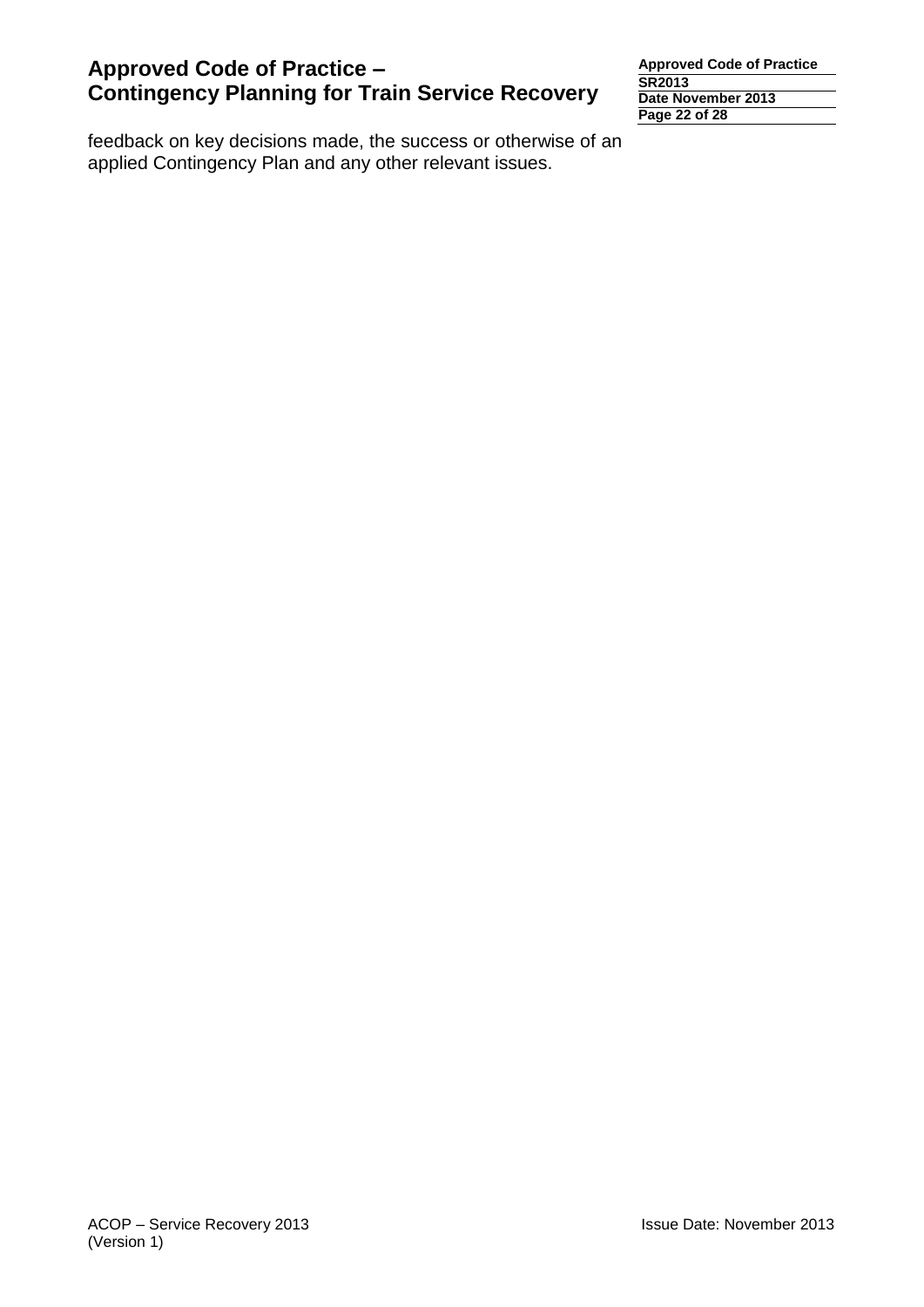feedback on key decisions made, the success or otherwise of an applied Contingency Plan and any other relevant issues.

**Approved Code of Practice SR2013 Date November 2013 Page 22 of 28**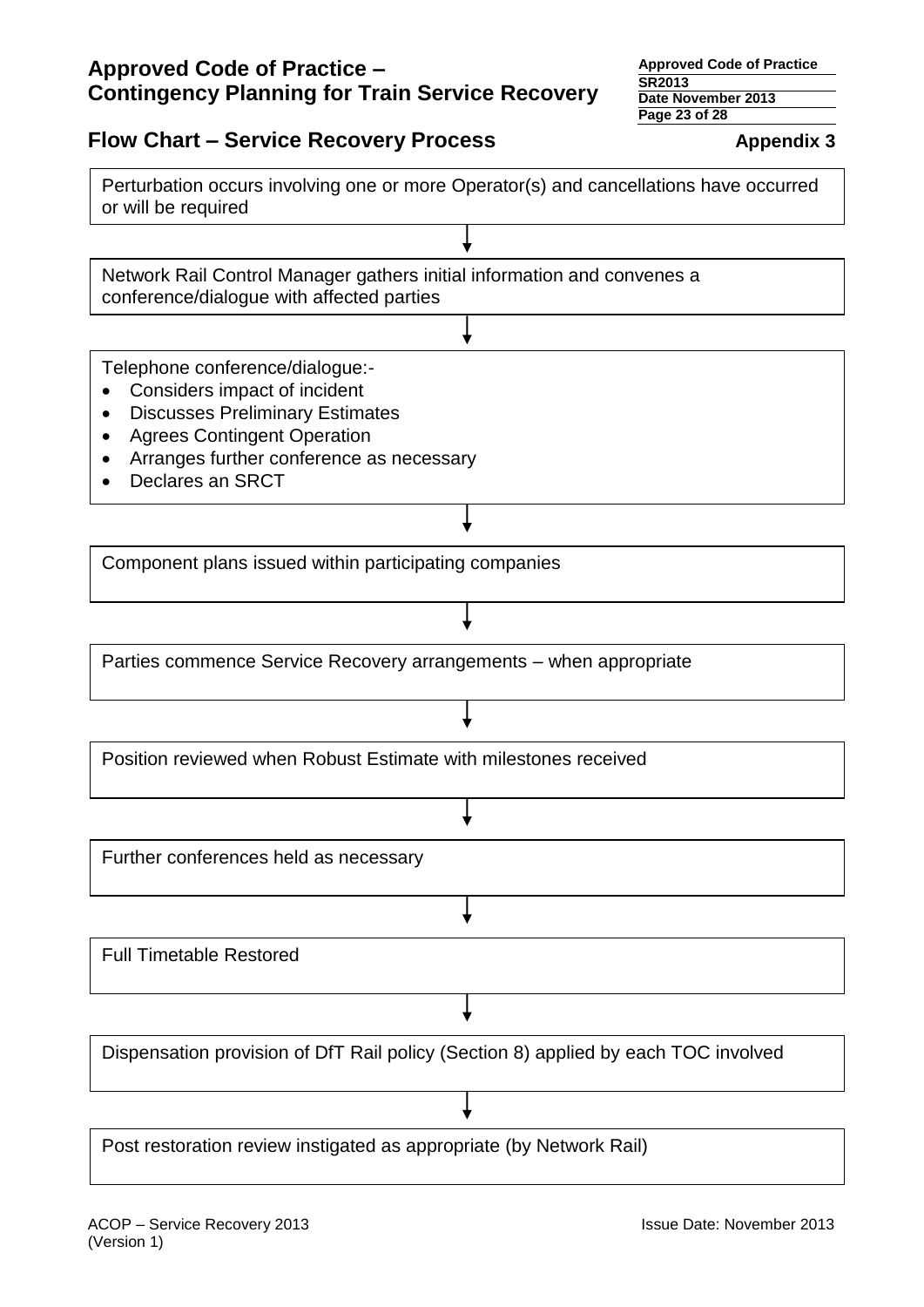**Approved Code of Practice SR2013 Date November 2013**

# **Flow Chart – Service Recovery Process Appendix 3**

Perturbation occurs involving one or more Operator(s) and cancellations have occurred or will be required

Network Rail Control Manager gathers initial information and convenes a conference/dialogue with affected parties

Telephone conference/dialogue:-

- Considers impact of incident
- Discusses Preliminary Estimates
- Agrees Contingent Operation
- Arranges further conference as necessary
- Declares an SRCT

Component plans issued within participating companies

Parties commence Service Recovery arrangements – when appropriate

Position reviewed when Robust Estimate with milestones received

Further conferences held as necessary

Full Timetable Restored

Dispensation provision of DfT Rail policy (Section 8) applied by each TOC involved

Post restoration review instigated as appropriate (by Network Rail)

**Page 23 of 28**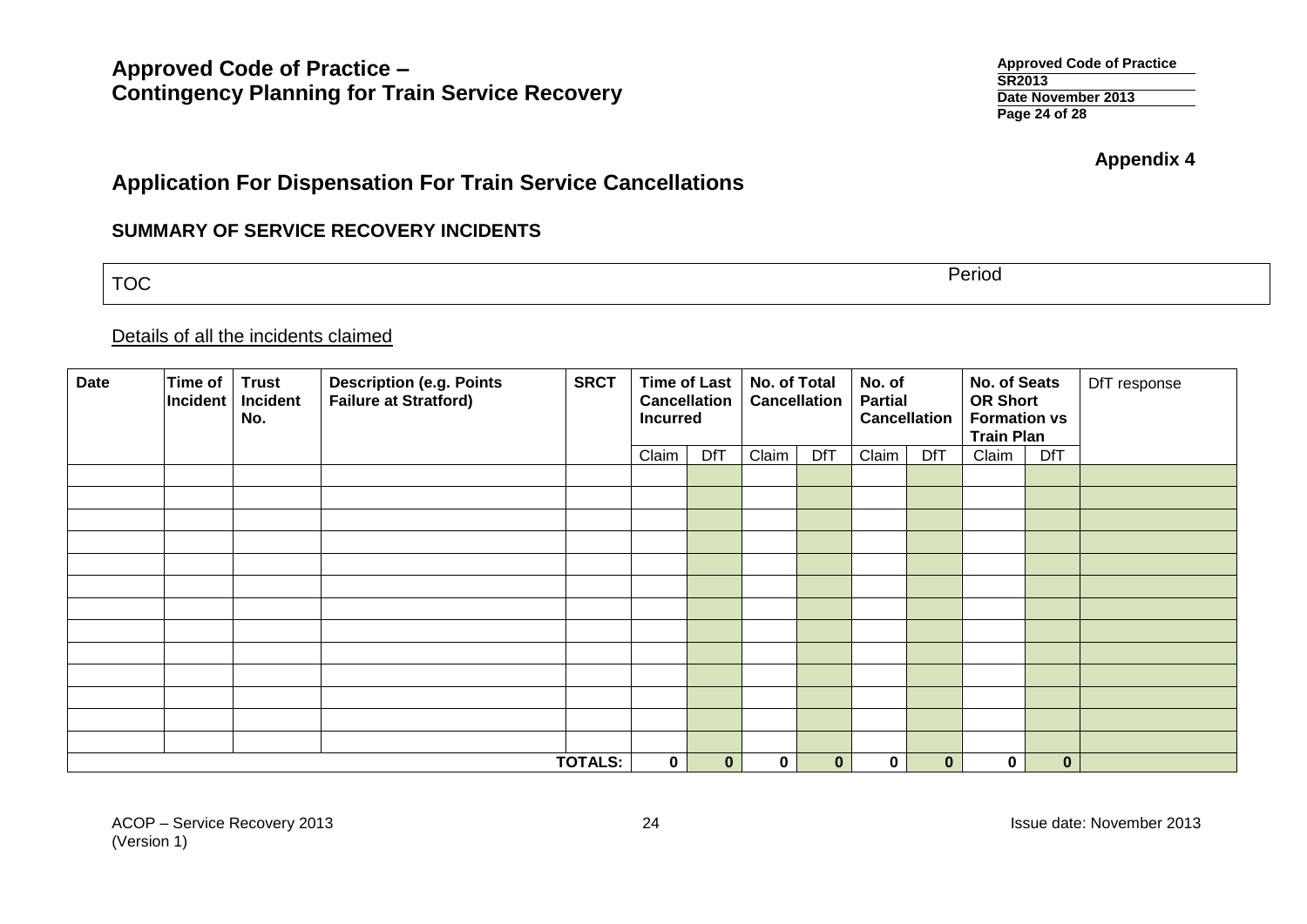**Approved Code of Practice SR2013 Date November 2013 Page 24 of 28**

**Appendix 4**

# **Application For Dispensation For Train Service Cancellations**

## **SUMMARY OF SERVICE RECOVERY INCIDENTS**

TOC Period

# Details of all the incidents claimed

| <b>Date</b> | <b>Time of</b><br>Incident | <b>Trust</b><br>Incident<br>No. | <b>Description (e.g. Points</b><br><b>Failure at Stratford)</b> | <b>SRCT</b>    | <b>Incurred</b> | <b>Time of Last</b><br><b>Cancellation</b> | No. of Total | <b>Cancellation</b> | No. of<br><b>Partial</b> | <b>Cancellation</b> | No. of Seats<br><b>OR Short</b><br><b>Formation vs</b><br><b>Train Plan</b> |              | DfT response |
|-------------|----------------------------|---------------------------------|-----------------------------------------------------------------|----------------|-----------------|--------------------------------------------|--------------|---------------------|--------------------------|---------------------|-----------------------------------------------------------------------------|--------------|--------------|
|             |                            |                                 |                                                                 |                | Claim           | <b>DfT</b>                                 | Claim        | <b>DfT</b>          | Claim                    | <b>DfT</b>          | Claim                                                                       | DfT          |              |
|             |                            |                                 |                                                                 |                |                 |                                            |              |                     |                          |                     |                                                                             |              |              |
|             |                            |                                 |                                                                 |                |                 |                                            |              |                     |                          |                     |                                                                             |              |              |
|             |                            |                                 |                                                                 |                |                 |                                            |              |                     |                          |                     |                                                                             |              |              |
|             |                            |                                 |                                                                 |                |                 |                                            |              |                     |                          |                     |                                                                             |              |              |
|             |                            |                                 |                                                                 |                |                 |                                            |              |                     |                          |                     |                                                                             |              |              |
|             |                            |                                 |                                                                 |                |                 |                                            |              |                     |                          |                     |                                                                             |              |              |
|             |                            |                                 |                                                                 |                |                 |                                            |              |                     |                          |                     |                                                                             |              |              |
|             |                            |                                 |                                                                 |                |                 |                                            |              |                     |                          |                     |                                                                             |              |              |
|             |                            |                                 |                                                                 |                |                 |                                            |              |                     |                          |                     |                                                                             |              |              |
|             |                            |                                 |                                                                 |                |                 |                                            |              |                     |                          |                     |                                                                             |              |              |
|             |                            |                                 |                                                                 |                |                 |                                            |              |                     |                          |                     |                                                                             |              |              |
|             |                            |                                 |                                                                 |                |                 |                                            |              |                     |                          |                     |                                                                             |              |              |
|             |                            |                                 |                                                                 |                |                 |                                            |              |                     |                          |                     |                                                                             |              |              |
|             |                            |                                 |                                                                 | <b>TOTALS:</b> | $\mathbf 0$     | $\mathbf{0}$                               | $\mathbf 0$  | $\mathbf{0}$        | 0                        | $\mathbf{0}$        | $\mathbf 0$                                                                 | $\mathbf{0}$ |              |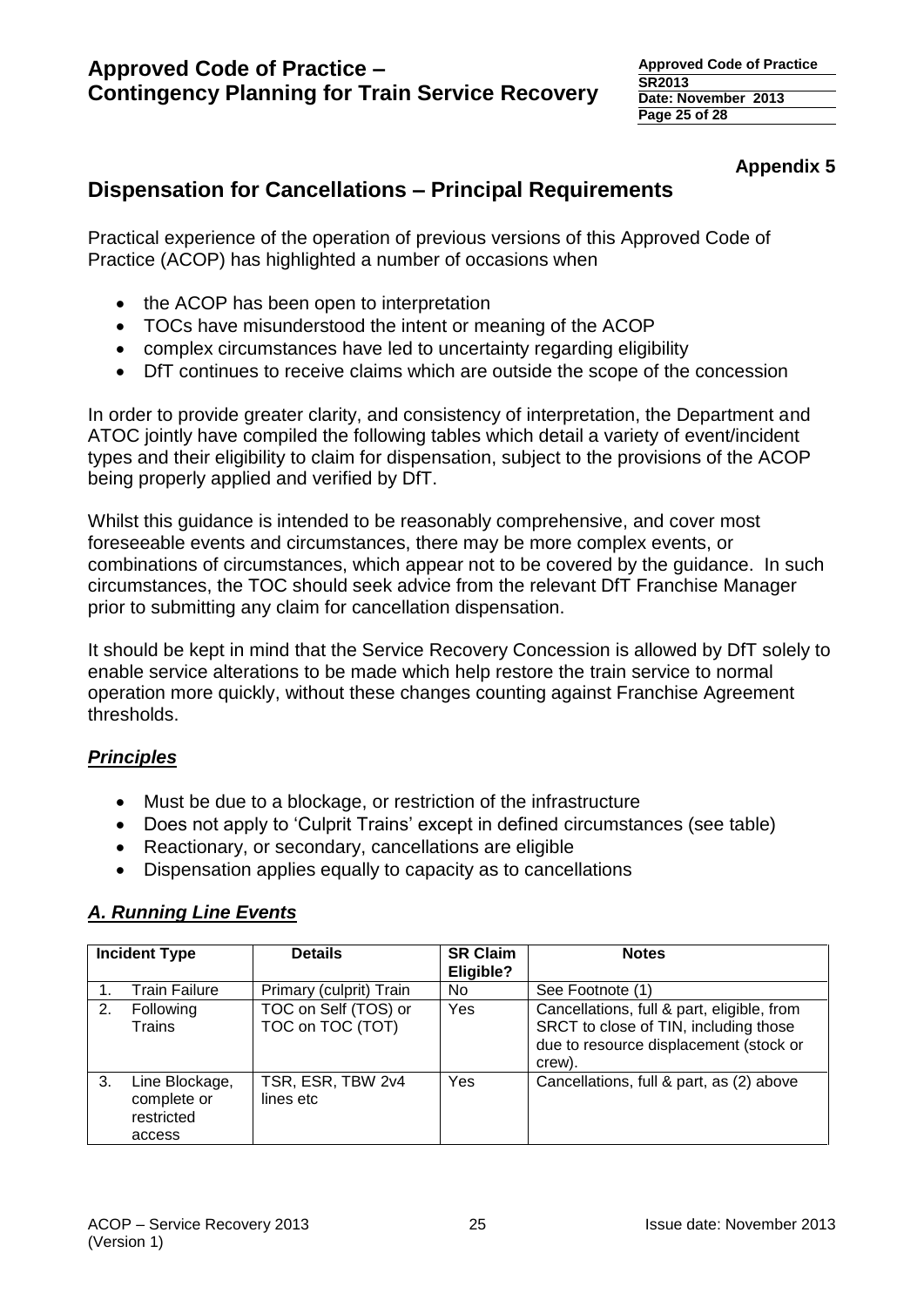# **Appendix 5**

# **Dispensation for Cancellations – Principal Requirements**

Practical experience of the operation of previous versions of this Approved Code of Practice (ACOP) has highlighted a number of occasions when

- the ACOP has been open to interpretation
- TOCs have misunderstood the intent or meaning of the ACOP
- complex circumstances have led to uncertainty regarding eligibility
- DfT continues to receive claims which are outside the scope of the concession

In order to provide greater clarity, and consistency of interpretation, the Department and ATOC jointly have compiled the following tables which detail a variety of event/incident types and their eligibility to claim for dispensation, subject to the provisions of the ACOP being properly applied and verified by DfT.

Whilst this guidance is intended to be reasonably comprehensive, and cover most foreseeable events and circumstances, there may be more complex events, or combinations of circumstances, which appear not to be covered by the guidance. In such circumstances, the TOC should seek advice from the relevant DfT Franchise Manager prior to submitting any claim for cancellation dispensation.

It should be kept in mind that the Service Recovery Concession is allowed by DfT solely to enable service alterations to be made which help restore the train service to normal operation more quickly, without these changes counting against Franchise Agreement thresholds.

# *Principles*

- Must be due to a blockage, or restriction of the infrastructure
- Does not apply to 'Culprit Trains' except in defined circumstances (see table)
- Reactionary, or secondary, cancellations are eligible
- Dispensation applies equally to capacity as to cancellations

# *A. Running Line Events*

| <b>Incident Type</b> |                                                       | <b>Details</b>                           | <b>SR Claim</b><br>Eligible? | <b>Notes</b>                                                                                                                            |
|----------------------|-------------------------------------------------------|------------------------------------------|------------------------------|-----------------------------------------------------------------------------------------------------------------------------------------|
|                      | Train Failure                                         | Primary (culprit) Train                  | No.                          | See Footnote (1)                                                                                                                        |
| 2.                   | Following<br>Trains                                   | TOC on Self (TOS) or<br>TOC on TOC (TOT) | Yes                          | Cancellations, full & part, eligible, from<br>SRCT to close of TIN, including those<br>due to resource displacement (stock or<br>crew). |
| 3.                   | Line Blockage,<br>complete or<br>restricted<br>access | TSR, ESR, TBW 2v4<br>lines etc           | Yes                          | Cancellations, full & part, as (2) above                                                                                                |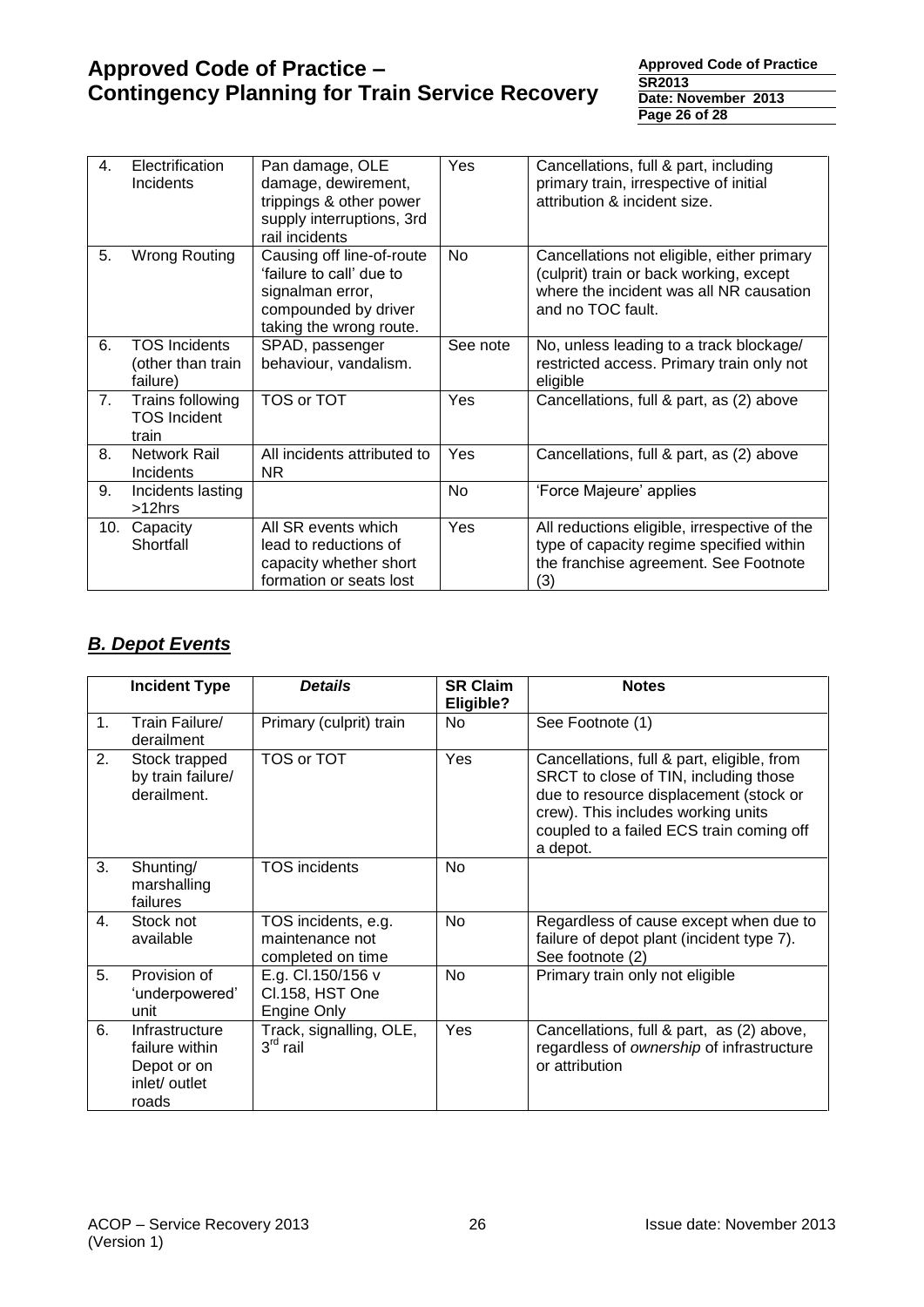**Approved Code of Practice SR2013 Date: November 2013 Page 26 of 28**

| 4.  | Electrification<br><b>Incidents</b>                   | Pan damage, OLE<br>damage, dewirement,<br>trippings & other power<br>supply interruptions, 3rd<br>rail incidents             | Yes       | Cancellations, full & part, including<br>primary train, irrespective of initial<br>attribution & incident size.                                       |
|-----|-------------------------------------------------------|------------------------------------------------------------------------------------------------------------------------------|-----------|-------------------------------------------------------------------------------------------------------------------------------------------------------|
| 5.  | <b>Wrong Routing</b>                                  | Causing off line-of-route<br>'failure to call' due to<br>signalman error,<br>compounded by driver<br>taking the wrong route. | <b>No</b> | Cancellations not eligible, either primary<br>(culprit) train or back working, except<br>where the incident was all NR causation<br>and no TOC fault. |
| 6.  | <b>TOS Incidents</b><br>(other than train<br>failure) | SPAD, passenger<br>behaviour, vandalism.                                                                                     | See note  | No, unless leading to a track blockage/<br>restricted access. Primary train only not<br>eligible                                                      |
| 7.  | Trains following<br><b>TOS Incident</b><br>train      | TOS or TOT                                                                                                                   | Yes       | Cancellations, full & part, as (2) above                                                                                                              |
| 8.  | Network Rail<br><b>Incidents</b>                      | All incidents attributed to<br>NR.                                                                                           | Yes       | Cancellations, full & part, as (2) above                                                                                                              |
| 9.  | Incidents lasting<br>>12hrs                           |                                                                                                                              | No        | 'Force Majeure' applies                                                                                                                               |
| 10. | Capacity<br>Shortfall                                 | All SR events which<br>lead to reductions of<br>capacity whether short<br>formation or seats lost                            | Yes       | All reductions eligible, irrespective of the<br>type of capacity regime specified within<br>the franchise agreement. See Footnote<br>(3)              |

# *B. Depot Events*

|                | <b>Incident Type</b>                                                      | <b>Details</b>                                              | <b>SR Claim</b><br>Eligible? | <b>Notes</b>                                                                                                                                                                                                                |
|----------------|---------------------------------------------------------------------------|-------------------------------------------------------------|------------------------------|-----------------------------------------------------------------------------------------------------------------------------------------------------------------------------------------------------------------------------|
| $\mathbf{1}$ . | Train Failure/<br>derailment                                              | Primary (culprit) train                                     | No                           | See Footnote (1)                                                                                                                                                                                                            |
| 2.             | Stock trapped<br>by train failure/<br>derailment.                         | TOS or TOT                                                  | Yes                          | Cancellations, full & part, eligible, from<br>SRCT to close of TIN, including those<br>due to resource displacement (stock or<br>crew). This includes working units<br>coupled to a failed ECS train coming off<br>a depot. |
| 3.             | Shunting/<br>marshalling<br>failures                                      | <b>TOS</b> incidents                                        | No                           |                                                                                                                                                                                                                             |
| $\mathbf{4}$ . | Stock not<br>available                                                    | TOS incidents, e.g.<br>maintenance not<br>completed on time | <b>No</b>                    | Regardless of cause except when due to<br>failure of depot plant (incident type 7).<br>See footnote (2)                                                                                                                     |
| 5.             | Provision of<br>'underpowered'<br>unit                                    | E.g. Cl.150/156 v<br>Cl.158, HST One<br>Engine Only         | No                           | Primary train only not eligible                                                                                                                                                                                             |
| 6.             | Infrastructure<br>failure within<br>Depot or on<br>inlet/ outlet<br>roads | Track, signalling, OLE,<br>$3rd$ rail                       | Yes                          | Cancellations, full & part, as (2) above,<br>regardless of ownership of infrastructure<br>or attribution                                                                                                                    |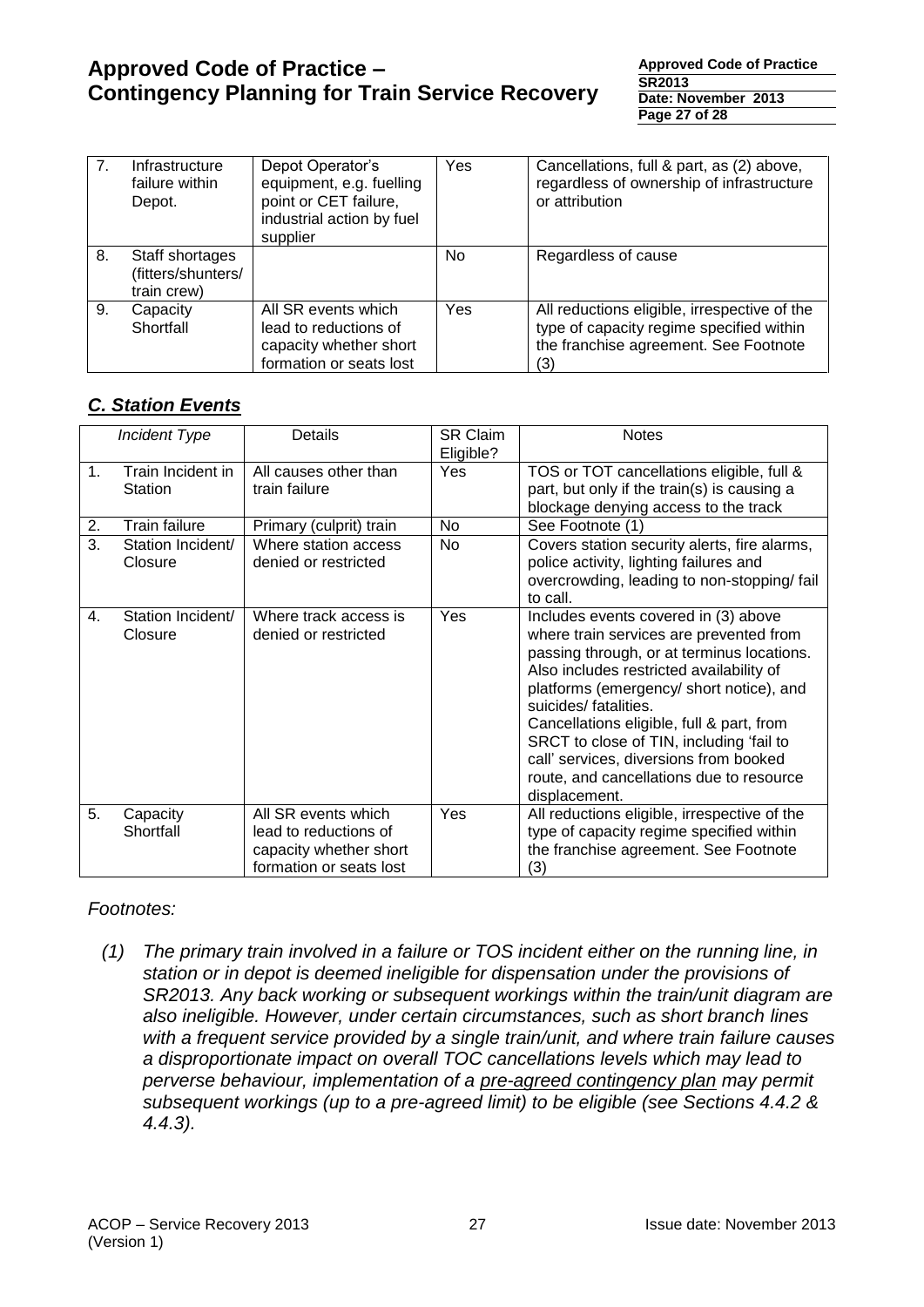**Approved Code of Practice SR2013 Date: November 2013 Page 27 of 28**

| 7 <sub>1</sub> | Infrastructure<br>failure within<br>Depot.           | Depot Operator's<br>equipment, e.g. fuelling<br>point or CET failure,<br>industrial action by fuel<br>supplier | Yes | Cancellations, full & part, as (2) above,<br>regardless of ownership of infrastructure<br>or attribution                                 |
|----------------|------------------------------------------------------|----------------------------------------------------------------------------------------------------------------|-----|------------------------------------------------------------------------------------------------------------------------------------------|
| 8.             | Staff shortages<br>(fitters/shunters/<br>train crew) |                                                                                                                | No  | Regardless of cause                                                                                                                      |
| 9.             | Capacity<br>Shortfall                                | All SR events which<br>lead to reductions of<br>capacity whether short<br>formation or seats lost              | Yes | All reductions eligible, irrespective of the<br>type of capacity regime specified within<br>the franchise agreement. See Footnote<br>(3) |

# *C. Station Events*

|    | <b>Incident Type</b>         | Details                                                                                           | <b>SR Claim</b><br>Eligible? | <b>Notes</b>                                                                                                                                                                                                                                                                                                                                                                                                                                   |
|----|------------------------------|---------------------------------------------------------------------------------------------------|------------------------------|------------------------------------------------------------------------------------------------------------------------------------------------------------------------------------------------------------------------------------------------------------------------------------------------------------------------------------------------------------------------------------------------------------------------------------------------|
| 1. | Train Incident in<br>Station | All causes other than<br>train failure                                                            | Yes                          | TOS or TOT cancellations eligible, full &<br>part, but only if the train(s) is causing a<br>blockage denying access to the track                                                                                                                                                                                                                                                                                                               |
| 2. | <b>Train failure</b>         | Primary (culprit) train                                                                           | No                           | See Footnote (1)                                                                                                                                                                                                                                                                                                                                                                                                                               |
| 3. | Station Incident/<br>Closure | Where station access<br>denied or restricted                                                      | No                           | Covers station security alerts, fire alarms,<br>police activity, lighting failures and<br>overcrowding, leading to non-stopping/ fail<br>to call.                                                                                                                                                                                                                                                                                              |
| 4. | Station Incident/<br>Closure | Where track access is<br>denied or restricted                                                     | Yes                          | Includes events covered in (3) above<br>where train services are prevented from<br>passing through, or at terminus locations.<br>Also includes restricted availability of<br>platforms (emergency/ short notice), and<br>suicides/ fatalities.<br>Cancellations eligible, full & part, from<br>SRCT to close of TIN, including 'fail to<br>call' services, diversions from booked<br>route, and cancellations due to resource<br>displacement. |
| 5. | Capacity<br>Shortfall        | All SR events which<br>lead to reductions of<br>capacity whether short<br>formation or seats lost | Yes                          | All reductions eligible, irrespective of the<br>type of capacity regime specified within<br>the franchise agreement. See Footnote<br>(3)                                                                                                                                                                                                                                                                                                       |

# *Footnotes:*

*(1) The primary train involved in a failure or TOS incident either on the running line, in station or in depot is deemed ineligible for dispensation under the provisions of SR2013. Any back working or subsequent workings within the train/unit diagram are also ineligible. However, under certain circumstances, such as short branch lines with a frequent service provided by a single train/unit, and where train failure causes a disproportionate impact on overall TOC cancellations levels which may lead to perverse behaviour, implementation of a pre-agreed contingency plan may permit subsequent workings (up to a pre-agreed limit) to be eligible (see Sections 4.4.2 & 4.4.3).*